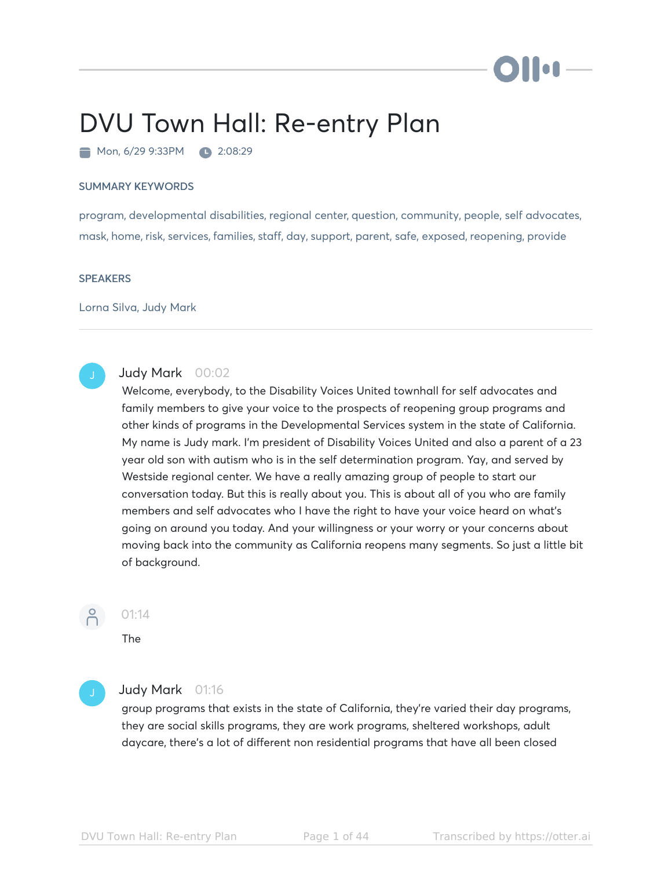# Ho**n**

# DVU Town Hall: Re-entry Plan

Mon, 6/29 9:33PM 2:08:29

### SUMMARY KEYWORDS

program, developmental disabilities, regional center, question, community, people, self advocates, mask, home, risk, services, families, staff, day, support, parent, safe, exposed, reopening, provide

### **SPEAKERS**

Lorna Silva, Judy Mark



### Judy Mark 00:02

Welcome, everybody, to the Disability Voices United townhall for self advocates and family members to give your voice to the prospects of reopening group programs and other kinds of programs in the Developmental Services system in the state of California. My name is Judy mark. I'm president of Disability Voices United and also a parent of a 23 year old son with autism who is in the self determination program. Yay, and served by Westside regional center. We have a really amazing group of people to start our conversation today. But this is really about you. This is about all of you who are family members and self advocates who I have the right to have your voice heard on what's going on around you today. And your willingness or your worry or your concerns about moving back into the community as California reopens many segments. So just a little bit of background.



### 01:14

The

### Judy Mark 01:16

group programs that exists in the state of California, they're varied their day programs, they are social skills programs, they are work programs, sheltered workshops, adult daycare, there's a lot of different non residential programs that have all been closed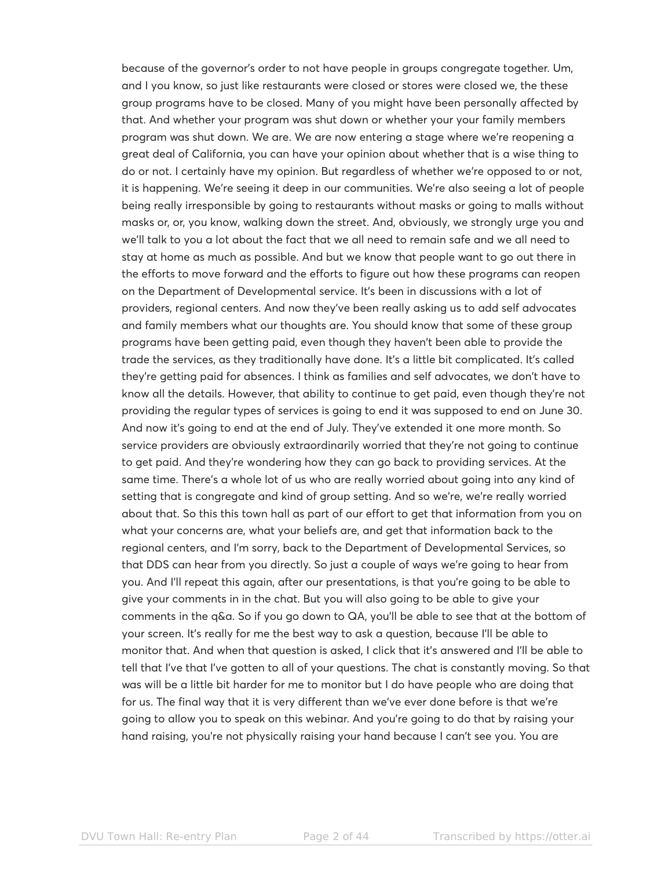because of the governor's order to not have people in groups congregate together. Um, and I you know, so just like restaurants were closed or stores were closed we, the these group programs have to be closed. Many of you might have been personally affected by that. And whether your program was shut down or whether your your family members program was shut down. We are. We are now entering a stage where we're reopening a great deal of California, you can have your opinion about whether that is a wise thing to do or not. I certainly have my opinion. But regardless of whether we're opposed to or not, it is happening. We're seeing it deep in our communities. We're also seeing a lot of people being really irresponsible by going to restaurants without masks or going to malls without masks or, or, you know, walking down the street. And, obviously, we strongly urge you and we'll talk to you a lot about the fact that we all need to remain safe and we all need to stay at home as much as possible. And but we know that people want to go out there in the efforts to move forward and the efforts to figure out how these programs can reopen on the Department of Developmental service. It's been in discussions with a lot of providers, regional centers. And now they've been really asking us to add self advocates and family members what our thoughts are. You should know that some of these group programs have been getting paid, even though they haven't been able to provide the trade the services, as they traditionally have done. It's a little bit complicated. It's called they're getting paid for absences. I think as families and self advocates, we don't have to know all the details. However, that ability to continue to get paid, even though they're not providing the regular types of services is going to end it was supposed to end on June 30. And now it's going to end at the end of July. They've extended it one more month. So service providers are obviously extraordinarily worried that they're not going to continue to get paid. And they're wondering how they can go back to providing services. At the same time. There's a whole lot of us who are really worried about going into any kind of setting that is congregate and kind of group setting. And so we're, we're really worried about that. So this this town hall as part of our effort to get that information from you on what your concerns are, what your beliefs are, and get that information back to the regional centers, and I'm sorry, back to the Department of Developmental Services, so that DDS can hear from you directly. So just a couple of ways we're going to hear from you. And I'll repeat this again, after our presentations, is that you're going to be able to give your comments in in the chat. But you will also going to be able to give your comments in the q&a. So if you go down to QA, you'll be able to see that at the bottom of your screen. It's really for me the best way to ask a question, because I'll be able to monitor that. And when that question is asked, I click that it's answered and I'll be able to tell that I've that I've gotten to all of your questions. The chat is constantly moving. So that was will be a little bit harder for me to monitor but I do have people who are doing that for us. The final way that it is very different than we've ever done before is that we're going to allow you to speak on this webinar. And you're going to do that by raising your hand raising, you're not physically raising your hand because I can't see you. You are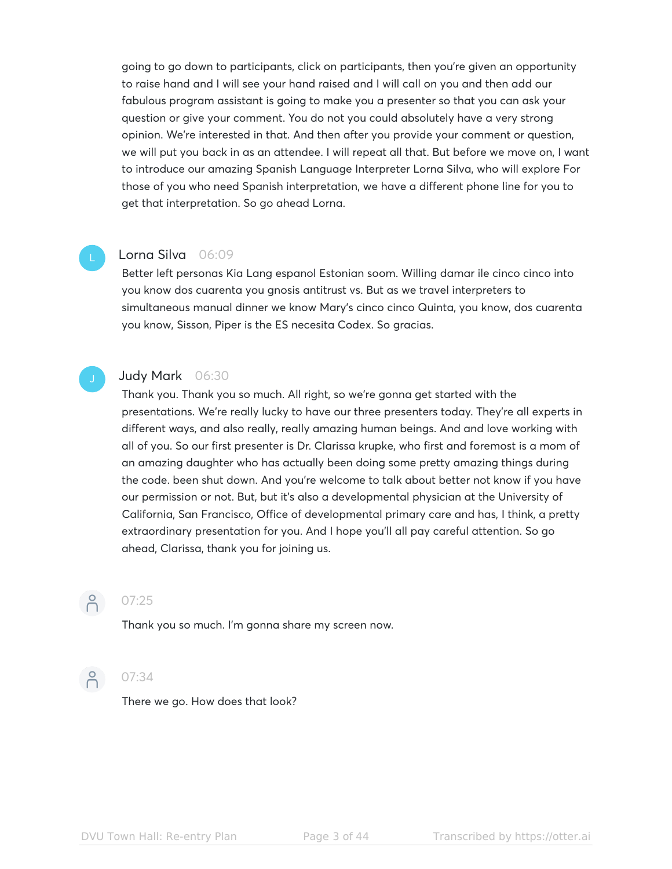going to go down to participants, click on participants, then you're given an opportunity to raise hand and I will see your hand raised and I will call on you and then add our fabulous program assistant is going to make you a presenter so that you can ask your question or give your comment. You do not you could absolutely have a very strong opinion. We're interested in that. And then after you provide your comment or question, we will put you back in as an attendee. I will repeat all that. But before we move on, I want to introduce our amazing Spanish Language Interpreter Lorna Silva, who will explore For those of you who need Spanish interpretation, we have a different phone line for you to get that interpretation. So go ahead Lorna.

### Lorna Silva 06:09

Better left personas Kia Lang espanol Estonian soom. Willing damar ile cinco cinco into you know dos cuarenta you gnosis antitrust vs. But as we travel interpreters to simultaneous manual dinner we know Mary's cinco cinco Quinta, you know, dos cuarenta you know, Sisson, Piper is the ES necesita Codex. So gracias.

### Judy Mark 06:30

Thank you. Thank you so much. All right, so we're gonna get started with the presentations. We're really lucky to have our three presenters today. They're all experts in different ways, and also really, really amazing human beings. And and love working with all of you. So our first presenter is Dr. Clarissa krupke, who first and foremost is a mom of an amazing daughter who has actually been doing some pretty amazing things during the code. been shut down. And you're welcome to talk about better not know if you have our permission or not. But, but it's also a developmental physician at the University of California, San Francisco, Office of developmental primary care and has, I think, a pretty extraordinary presentation for you. And I hope you'll all pay careful attention. So go ahead, Clarissa, thank you for joining us.



## **07:25**

Thank you so much. I'm gonna share my screen now.



### **07:34**

There we go. How does that look?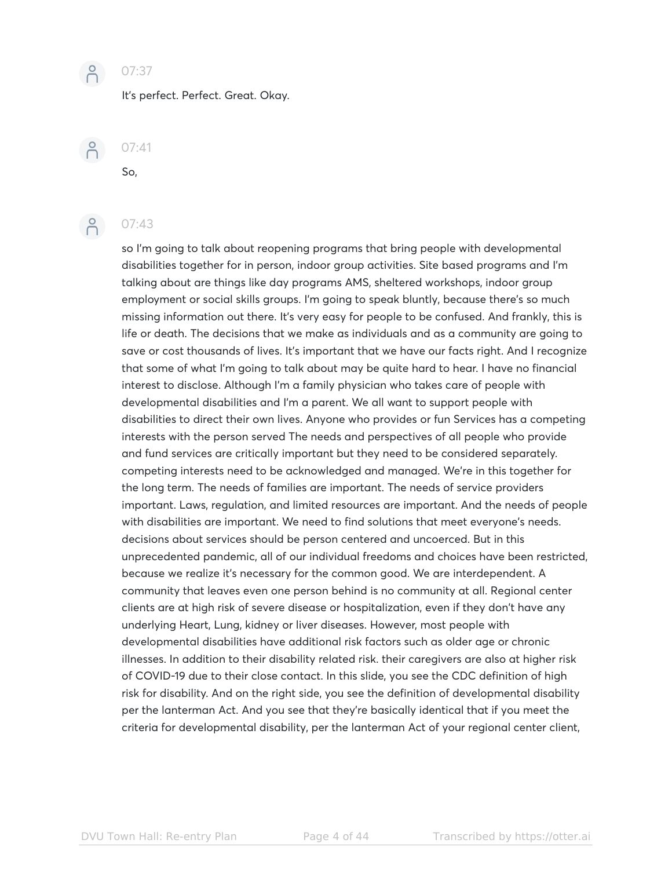

### $O(107:37)$

It's perfect. Perfect. Great. Okay.

 $O(5) 07:41$ 

## **07:43**

So,

so I'm going to talk about reopening programs that bring people with developmental disabilities together for in person, indoor group activities. Site based programs and I'm talking about are things like day programs AMS, sheltered workshops, indoor group employment or social skills groups. I'm going to speak bluntly, because there's so much missing information out there. It's very easy for people to be confused. And frankly, this is life or death. The decisions that we make as individuals and as a community are going to save or cost thousands of lives. It's important that we have our facts right. And I recognize that some of what I'm going to talk about may be quite hard to hear. I have no financial interest to disclose. Although I'm a family physician who takes care of people with developmental disabilities and I'm a parent. We all want to support people with disabilities to direct their own lives. Anyone who provides or fun Services has a competing interests with the person served The needs and perspectives of all people who provide and fund services are critically important but they need to be considered separately. competing interests need to be acknowledged and managed. We're in this together for the long term. The needs of families are important. The needs of service providers important. Laws, regulation, and limited resources are important. And the needs of people with disabilities are important. We need to find solutions that meet everyone's needs. decisions about services should be person centered and uncoerced. But in this unprecedented pandemic, all of our individual freedoms and choices have been restricted, because we realize it's necessary for the common good. We are interdependent. A community that leaves even one person behind is no community at all. Regional center clients are at high risk of severe disease or hospitalization, even if they don't have any underlying Heart, Lung, kidney or liver diseases. However, most people with developmental disabilities have additional risk factors such as older age or chronic illnesses. In addition to their disability related risk. their caregivers are also at higher risk of COVID-19 due to their close contact. In this slide, you see the CDC definition of high risk for disability. And on the right side, you see the definition of developmental disability per the lanterman Act. And you see that they're basically identical that if you meet the criteria for developmental disability, per the lanterman Act of your regional center client,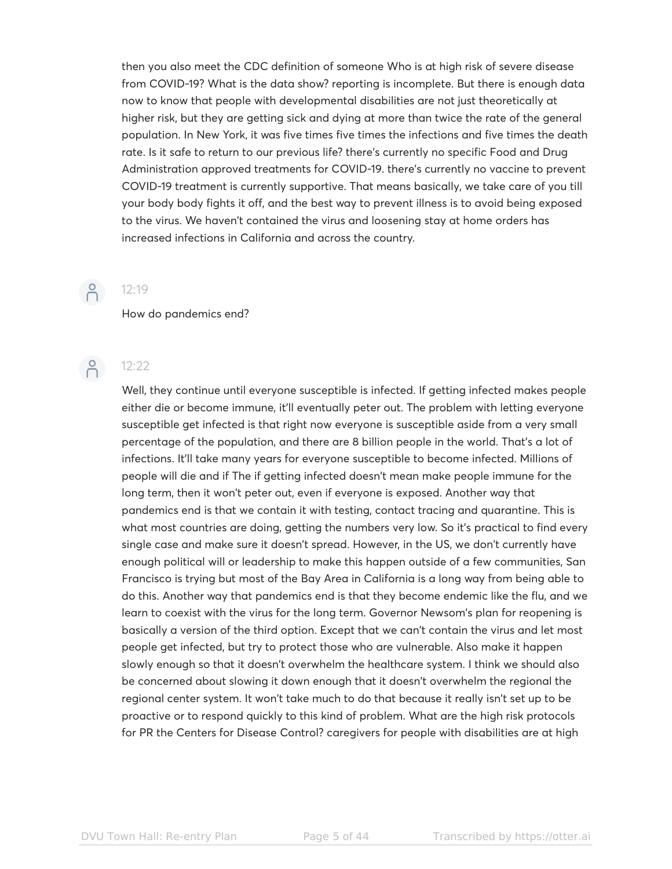then you also meet the CDC definition of someone Who is at high risk of severe disease from COVID-19? What is the data show? reporting is incomplete. But there is enough data now to know that people with developmental disabilities are not just theoretically at higher risk, but they are getting sick and dying at more than twice the rate of the general population. In New York, it was five times five times the infections and five times the death rate. Is it safe to return to our previous life? there's currently no specific Food and Drug Administration approved treatments for COVID-19. there's currently no vaccine to prevent COVID-19 treatment is currently supportive. That means basically, we take care of you till your body body fights it off, and the best way to prevent illness is to avoid being exposed to the virus. We haven't contained the virus and loosening stay at home orders has increased infections in California and across the country.

# $\beta$

### How do pandemics end?



12:19

Well, they continue until everyone susceptible is infected. If getting infected makes people either die or become immune, it'll eventually peter out. The problem with letting everyone susceptible get infected is that right now everyone is susceptible aside from a very small percentage of the population, and there are 8 billion people in the world. That's a lot of infections. It'll take many years for everyone susceptible to become infected. Millions of people will die and if The if getting infected doesn't mean make people immune for the long term, then it won't peter out, even if everyone is exposed. Another way that pandemics end is that we contain it with testing, contact tracing and quarantine. This is what most countries are doing, getting the numbers very low. So it's practical to find every single case and make sure it doesn't spread. However, in the US, we don't currently have enough political will or leadership to make this happen outside of a few communities, San Francisco is trying but most of the Bay Area in California is a long way from being able to do this. Another way that pandemics end is that they become endemic like the flu, and we learn to coexist with the virus for the long term. Governor Newsom's plan for reopening is basically a version of the third option. Except that we can't contain the virus and let most people get infected, but try to protect those who are vulnerable. Also make it happen slowly enough so that it doesn't overwhelm the healthcare system. I think we should also be concerned about slowing it down enough that it doesn't overwhelm the regional the regional center system. It won't take much to do that because it really isn't set up to be proactive or to respond quickly to this kind of problem. What are the high risk protocols for PR the Centers for Disease Control? caregivers for people with disabilities are at high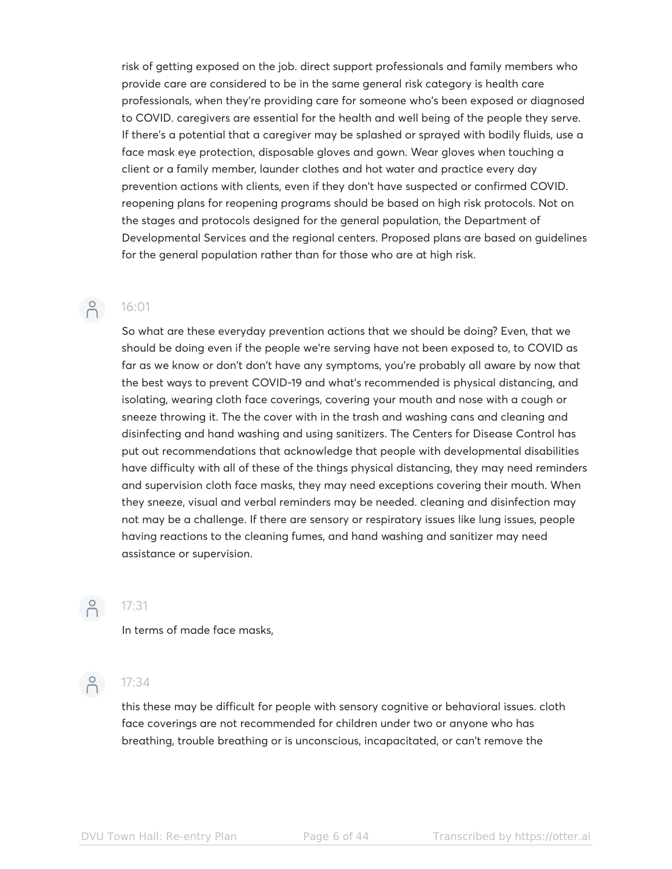risk of getting exposed on the job. direct support professionals and family members who provide care are considered to be in the same general risk category is health care professionals, when they're providing care for someone who's been exposed or diagnosed to COVID. caregivers are essential for the health and well being of the people they serve. If there's a potential that a caregiver may be splashed or sprayed with bodily fluids, use a face mask eye protection, disposable gloves and gown. Wear gloves when touching a client or a family member, launder clothes and hot water and practice every day prevention actions with clients, even if they don't have suspected or confirmed COVID. reopening plans for reopening programs should be based on high risk protocols. Not on the stages and protocols designed for the general population, the Department of Developmental Services and the regional centers. Proposed plans are based on guidelines for the general population rather than for those who are at high risk.

### 16:01

 $\bigcap_{i=1}^{\infty}$ 

So what are these everyday prevention actions that we should be doing? Even, that we should be doing even if the people we're serving have not been exposed to, to COVID as far as we know or don't don't have any symptoms, you're probably all aware by now that the best ways to prevent COVID-19 and what's recommended is physical distancing, and isolating, wearing cloth face coverings, covering your mouth and nose with a cough or sneeze throwing it. The the cover with in the trash and washing cans and cleaning and disinfecting and hand washing and using sanitizers. The Centers for Disease Control has put out recommendations that acknowledge that people with developmental disabilities have difficulty with all of these of the things physical distancing, they may need reminders and supervision cloth face masks, they may need exceptions covering their mouth. When they sneeze, visual and verbal reminders may be needed. cleaning and disinfection may not may be a challenge. If there are sensory or respiratory issues like lung issues, people having reactions to the cleaning fumes, and hand washing and sanitizer may need assistance or supervision.



## $n = 17:31$

In terms of made face masks,



### $2^{\circ}$  17:34

this these may be difficult for people with sensory cognitive or behavioral issues. cloth face coverings are not recommended for children under two or anyone who has breathing, trouble breathing or is unconscious, incapacitated, or can't remove the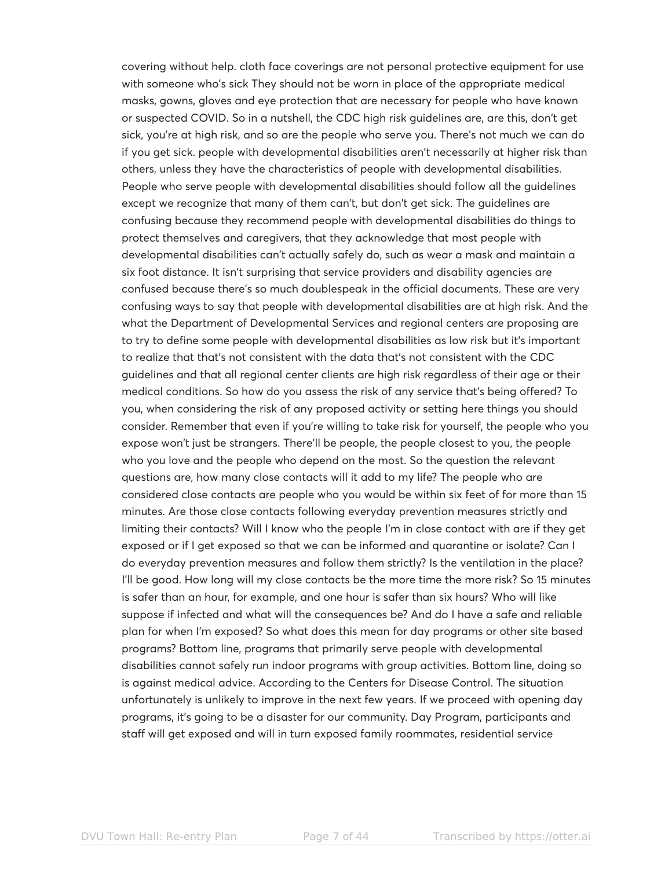covering without help. cloth face coverings are not personal protective equipment for use with someone who's sick They should not be worn in place of the appropriate medical masks, gowns, gloves and eye protection that are necessary for people who have known or suspected COVID. So in a nutshell, the CDC high risk guidelines are, are this, don't get sick, you're at high risk, and so are the people who serve you. There's not much we can do if you get sick. people with developmental disabilities aren't necessarily at higher risk than others, unless they have the characteristics of people with developmental disabilities. People who serve people with developmental disabilities should follow all the guidelines except we recognize that many of them can't, but don't get sick. The guidelines are confusing because they recommend people with developmental disabilities do things to protect themselves and caregivers, that they acknowledge that most people with developmental disabilities can't actually safely do, such as wear a mask and maintain a six foot distance. It isn't surprising that service providers and disability agencies are confused because there's so much doublespeak in the official documents. These are very confusing ways to say that people with developmental disabilities are at high risk. And the what the Department of Developmental Services and regional centers are proposing are to try to define some people with developmental disabilities as low risk but it's important to realize that that's not consistent with the data that's not consistent with the CDC guidelines and that all regional center clients are high risk regardless of their age or their medical conditions. So how do you assess the risk of any service that's being offered? To you, when considering the risk of any proposed activity or setting here things you should consider. Remember that even if you're willing to take risk for yourself, the people who you expose won't just be strangers. There'll be people, the people closest to you, the people who you love and the people who depend on the most. So the question the relevant questions are, how many close contacts will it add to my life? The people who are considered close contacts are people who you would be within six feet of for more than 15 minutes. Are those close contacts following everyday prevention measures strictly and limiting their contacts? Will I know who the people I'm in close contact with are if they get exposed or if I get exposed so that we can be informed and quarantine or isolate? Can I do everyday prevention measures and follow them strictly? Is the ventilation in the place? I'll be good. How long will my close contacts be the more time the more risk? So 15 minutes is safer than an hour, for example, and one hour is safer than six hours? Who will like suppose if infected and what will the consequences be? And do I have a safe and reliable plan for when I'm exposed? So what does this mean for day programs or other site based programs? Bottom line, programs that primarily serve people with developmental disabilities cannot safely run indoor programs with group activities. Bottom line, doing so is against medical advice. According to the Centers for Disease Control. The situation unfortunately is unlikely to improve in the next few years. If we proceed with opening day programs, it's going to be a disaster for our community. Day Program, participants and staff will get exposed and will in turn exposed family roommates, residential service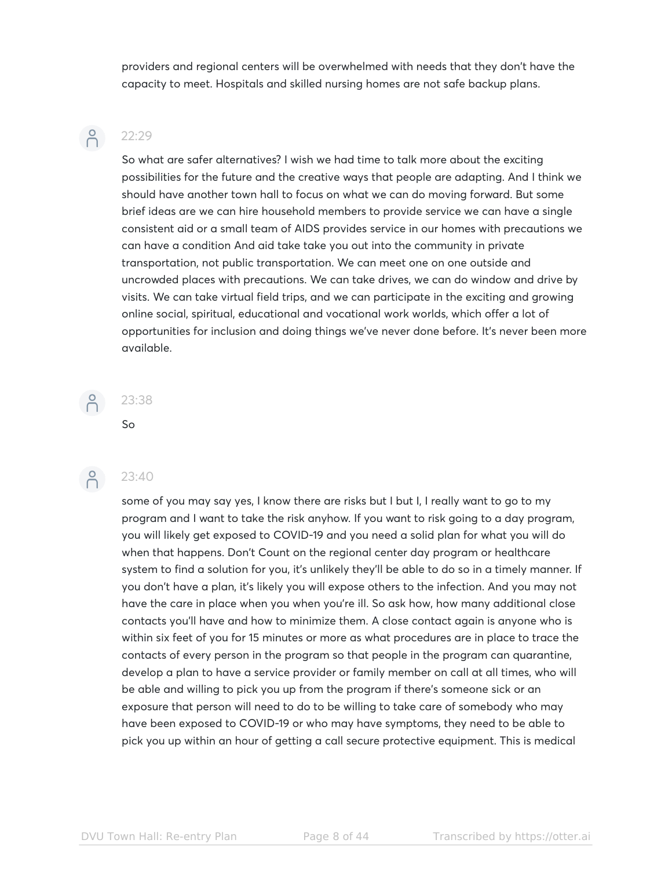providers and regional centers will be overwhelmed with needs that they don't have the capacity to meet. Hospitals and skilled nursing homes are not safe backup plans.

# $\bigcap^{\circ}$

### 22:29

So what are safer alternatives? I wish we had time to talk more about the exciting possibilities for the future and the creative ways that people are adapting. And I think we should have another town hall to focus on what we can do moving forward. But some brief ideas are we can hire household members to provide service we can have a single consistent aid or a small team of AIDS provides service in our homes with precautions we can have a condition And aid take take you out into the community in private transportation, not public transportation. We can meet one on one outside and uncrowded places with precautions. We can take drives, we can do window and drive by visits. We can take virtual field trips, and we can participate in the exciting and growing online social, spiritual, educational and vocational work worlds, which offer a lot of opportunities for inclusion and doing things we've never done before. It's never been more available.

# $\beta$

# So



### 23:40

23:38

some of you may say yes, I know there are risks but I but I, I really want to go to my program and I want to take the risk anyhow. If you want to risk going to a day program, you will likely get exposed to COVID-19 and you need a solid plan for what you will do when that happens. Don't Count on the regional center day program or healthcare system to find a solution for you, it's unlikely they'll be able to do so in a timely manner. If you don't have a plan, it's likely you will expose others to the infection. And you may not have the care in place when you when you're ill. So ask how, how many additional close contacts you'll have and how to minimize them. A close contact again is anyone who is within six feet of you for 15 minutes or more as what procedures are in place to trace the contacts of every person in the program so that people in the program can quarantine, develop a plan to have a service provider or family member on call at all times, who will be able and willing to pick you up from the program if there's someone sick or an exposure that person will need to do to be willing to take care of somebody who may have been exposed to COVID-19 or who may have symptoms, they need to be able to pick you up within an hour of getting a call secure protective equipment. This is medical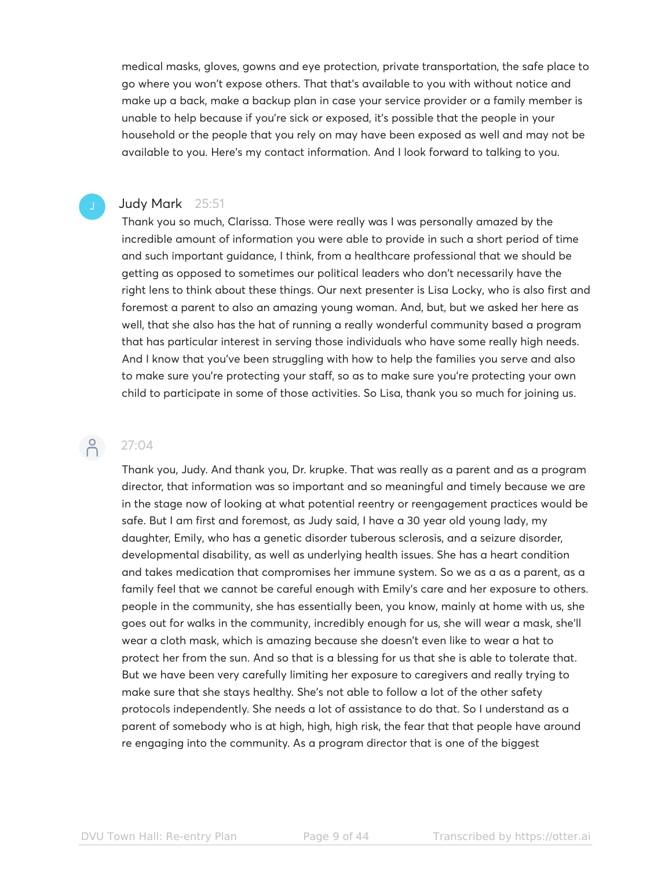medical masks, gloves, gowns and eye protection, private transportation, the safe place to go where you won't expose others. That that's available to you with without notice and make up a back, make a backup plan in case your service provider or a family member is unable to help because if you're sick or exposed, it's possible that the people in your household or the people that you rely on may have been exposed as well and may not be available to you. Here's my contact information. And I look forward to talking to you.

### Judy Mark 25:51

Thank you so much, Clarissa. Those were really was I was personally amazed by the incredible amount of information you were able to provide in such a short period of time and such important guidance, I think, from a healthcare professional that we should be getting as opposed to sometimes our political leaders who don't necessarily have the right lens to think about these things. Our next presenter is Lisa Locky, who is also first and foremost a parent to also an amazing young woman. And, but, but we asked her here as well, that she also has the hat of running a really wonderful community based a program that has particular interest in serving those individuals who have some really high needs. And I know that you've been struggling with how to help the families you serve and also to make sure you're protecting your staff, so as to make sure you're protecting your own child to participate in some of those activities. So Lisa, thank you so much for joining us.

### $\bigcap_{\alpha\in\mathbb{N}}$ 27:04

Thank you, Judy. And thank you, Dr. krupke. That was really as a parent and as a program director, that information was so important and so meaningful and timely because we are in the stage now of looking at what potential reentry or reengagement practices would be safe. But I am first and foremost, as Judy said, I have a 30 year old young lady, my daughter, Emily, who has a genetic disorder tuberous sclerosis, and a seizure disorder, developmental disability, as well as underlying health issues. She has a heart condition and takes medication that compromises her immune system. So we as a as a parent, as a family feel that we cannot be careful enough with Emily's care and her exposure to others. people in the community, she has essentially been, you know, mainly at home with us, she goes out for walks in the community, incredibly enough for us, she will wear a mask, she'll wear a cloth mask, which is amazing because she doesn't even like to wear a hat to protect her from the sun. And so that is a blessing for us that she is able to tolerate that. But we have been very carefully limiting her exposure to caregivers and really trying to make sure that she stays healthy. She's not able to follow a lot of the other safety protocols independently. She needs a lot of assistance to do that. So I understand as a parent of somebody who is at high, high, high risk, the fear that that people have around re engaging into the community. As a program director that is one of the biggest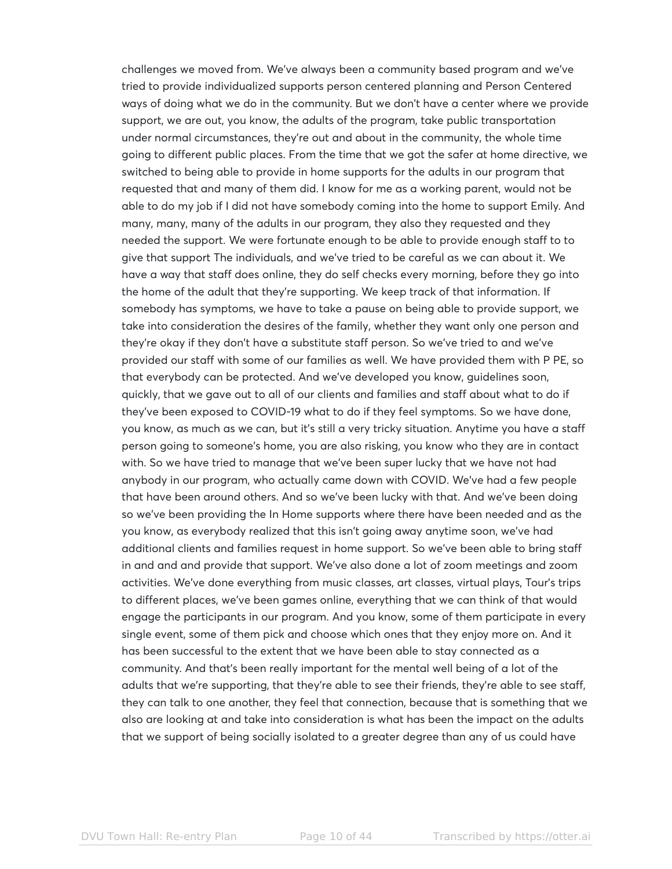challenges we moved from. We've always been a community based program and we've tried to provide individualized supports person centered planning and Person Centered ways of doing what we do in the community. But we don't have a center where we provide support, we are out, you know, the adults of the program, take public transportation under normal circumstances, they're out and about in the community, the whole time going to different public places. From the time that we got the safer at home directive, we switched to being able to provide in home supports for the adults in our program that requested that and many of them did. I know for me as a working parent, would not be able to do my job if I did not have somebody coming into the home to support Emily. And many, many, many of the adults in our program, they also they requested and they needed the support. We were fortunate enough to be able to provide enough staff to to give that support The individuals, and we've tried to be careful as we can about it. We have a way that staff does online, they do self checks every morning, before they go into the home of the adult that they're supporting. We keep track of that information. If somebody has symptoms, we have to take a pause on being able to provide support, we take into consideration the desires of the family, whether they want only one person and they're okay if they don't have a substitute staff person. So we've tried to and we've provided our staff with some of our families as well. We have provided them with P PE, so that everybody can be protected. And we've developed you know, guidelines soon, quickly, that we gave out to all of our clients and families and staff about what to do if they've been exposed to COVID-19 what to do if they feel symptoms. So we have done, you know, as much as we can, but it's still a very tricky situation. Anytime you have a staff person going to someone's home, you are also risking, you know who they are in contact with. So we have tried to manage that we've been super lucky that we have not had anybody in our program, who actually came down with COVID. We've had a few people that have been around others. And so we've been lucky with that. And we've been doing so we've been providing the In Home supports where there have been needed and as the you know, as everybody realized that this isn't going away anytime soon, we've had additional clients and families request in home support. So we've been able to bring staff in and and and provide that support. We've also done a lot of zoom meetings and zoom activities. We've done everything from music classes, art classes, virtual plays, Tour's trips to different places, we've been games online, everything that we can think of that would engage the participants in our program. And you know, some of them participate in every single event, some of them pick and choose which ones that they enjoy more on. And it has been successful to the extent that we have been able to stay connected as a community. And that's been really important for the mental well being of a lot of the adults that we're supporting, that they're able to see their friends, they're able to see staff, they can talk to one another, they feel that connection, because that is something that we also are looking at and take into consideration is what has been the impact on the adults that we support of being socially isolated to a greater degree than any of us could have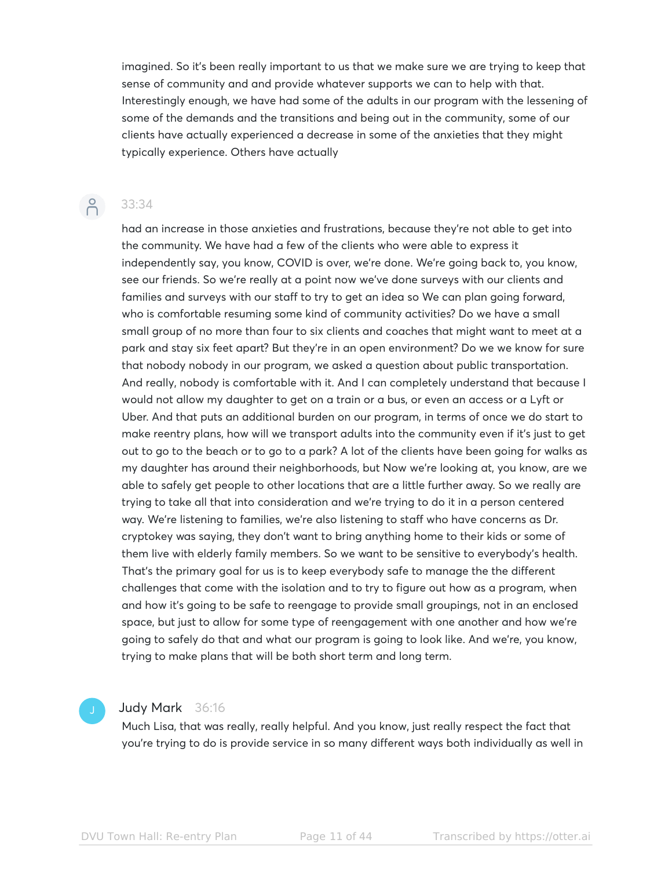imagined. So it's been really important to us that we make sure we are trying to keep that sense of community and and provide whatever supports we can to help with that. Interestingly enough, we have had some of the adults in our program with the lessening of some of the demands and the transitions and being out in the community, some of our clients have actually experienced a decrease in some of the anxieties that they might typically experience. Others have actually

# $\beta$

33:34

had an increase in those anxieties and frustrations, because they're not able to get into the community. We have had a few of the clients who were able to express it independently say, you know, COVID is over, we're done. We're going back to, you know, see our friends. So we're really at a point now we've done surveys with our clients and families and surveys with our staff to try to get an idea so We can plan going forward, who is comfortable resuming some kind of community activities? Do we have a small small group of no more than four to six clients and coaches that might want to meet at a park and stay six feet apart? But they're in an open environment? Do we we know for sure that nobody nobody in our program, we asked a question about public transportation. And really, nobody is comfortable with it. And I can completely understand that because I would not allow my daughter to get on a train or a bus, or even an access or a Lyft or Uber. And that puts an additional burden on our program, in terms of once we do start to make reentry plans, how will we transport adults into the community even if it's just to get out to go to the beach or to go to a park? A lot of the clients have been going for walks as my daughter has around their neighborhoods, but Now we're looking at, you know, are we able to safely get people to other locations that are a little further away. So we really are trying to take all that into consideration and we're trying to do it in a person centered way. We're listening to families, we're also listening to staff who have concerns as Dr. cryptokey was saying, they don't want to bring anything home to their kids or some of them live with elderly family members. So we want to be sensitive to everybody's health. That's the primary goal for us is to keep everybody safe to manage the the different challenges that come with the isolation and to try to figure out how as a program, when and how it's going to be safe to reengage to provide small groupings, not in an enclosed space, but just to allow for some type of reengagement with one another and how we're going to safely do that and what our program is going to look like. And we're, you know, trying to make plans that will be both short term and long term.

### Judy Mark 36:16

Much Lisa, that was really, really helpful. And you know, just really respect the fact that you're trying to do is provide service in so many different ways both individually as well in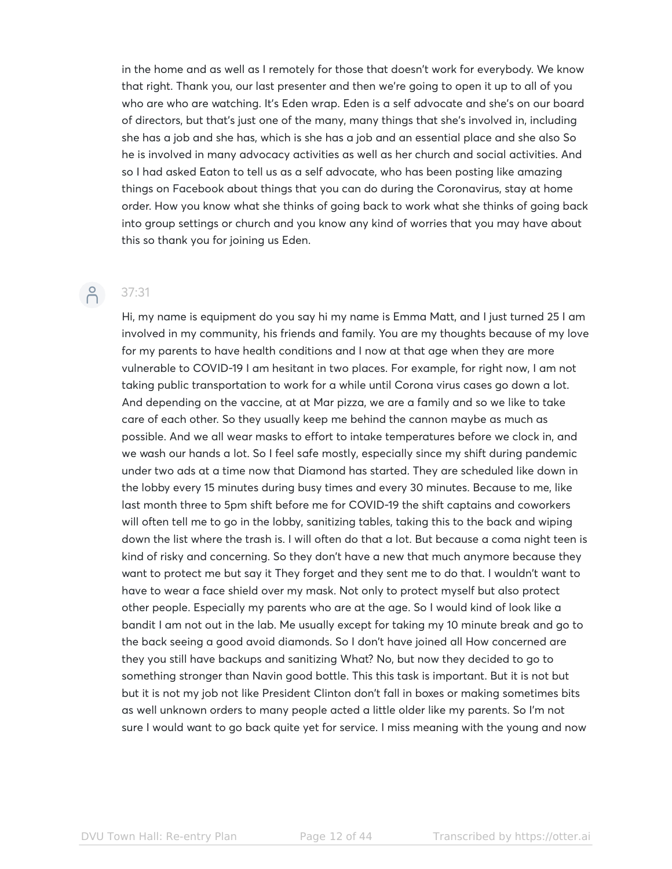in the home and as well as I remotely for those that doesn't work for everybody. We know that right. Thank you, our last presenter and then we're going to open it up to all of you who are who are watching. It's Eden wrap. Eden is a self advocate and she's on our board of directors, but that's just one of the many, many things that she's involved in, including she has a job and she has, which is she has a job and an essential place and she also So he is involved in many advocacy activities as well as her church and social activities. And so I had asked Eaton to tell us as a self advocate, who has been posting like amazing things on Facebook about things that you can do during the Coronavirus, stay at home order. How you know what she thinks of going back to work what she thinks of going back into group settings or church and you know any kind of worries that you may have about this so thank you for joining us Eden.

# $\beta$

### 37:31

Hi, my name is equipment do you say hi my name is Emma Matt, and I just turned 25 I am involved in my community, his friends and family. You are my thoughts because of my love for my parents to have health conditions and I now at that age when they are more vulnerable to COVID-19 I am hesitant in two places. For example, for right now, I am not taking public transportation to work for a while until Corona virus cases go down a lot. And depending on the vaccine, at at Mar pizza, we are a family and so we like to take care of each other. So they usually keep me behind the cannon maybe as much as possible. And we all wear masks to effort to intake temperatures before we clock in, and we wash our hands a lot. So I feel safe mostly, especially since my shift during pandemic under two ads at a time now that Diamond has started. They are scheduled like down in the lobby every 15 minutes during busy times and every 30 minutes. Because to me, like last month three to 5pm shift before me for COVID-19 the shift captains and coworkers will often tell me to go in the lobby, sanitizing tables, taking this to the back and wiping down the list where the trash is. I will often do that a lot. But because a coma night teen is kind of risky and concerning. So they don't have a new that much anymore because they want to protect me but say it They forget and they sent me to do that. I wouldn't want to have to wear a face shield over my mask. Not only to protect myself but also protect other people. Especially my parents who are at the age. So I would kind of look like a bandit I am not out in the lab. Me usually except for taking my 10 minute break and go to the back seeing a good avoid diamonds. So I don't have joined all How concerned are they you still have backups and sanitizing What? No, but now they decided to go to something stronger than Navin good bottle. This this task is important. But it is not but but it is not my job not like President Clinton don't fall in boxes or making sometimes bits as well unknown orders to many people acted a little older like my parents. So I'm not sure I would want to go back quite yet for service. I miss meaning with the young and now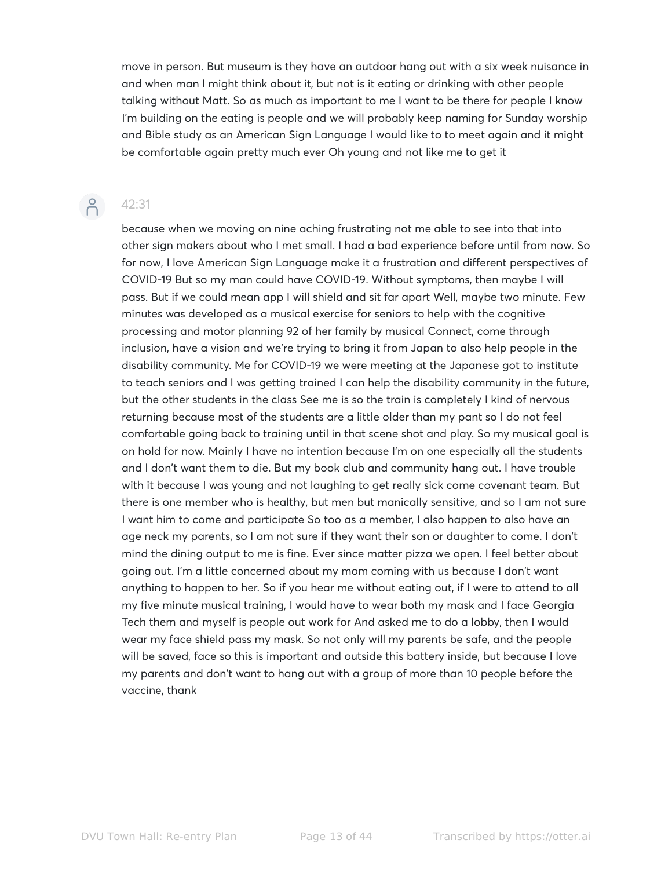move in person. But museum is they have an outdoor hang out with a six week nuisance in and when man I might think about it, but not is it eating or drinking with other people talking without Matt. So as much as important to me I want to be there for people I know I'm building on the eating is people and we will probably keep naming for Sunday worship and Bible study as an American Sign Language I would like to to meet again and it might be comfortable again pretty much ever Oh young and not like me to get it

## $\beta$

42:31

because when we moving on nine aching frustrating not me able to see into that into other sign makers about who I met small. I had a bad experience before until from now. So for now, I love American Sign Language make it a frustration and different perspectives of COVID-19 But so my man could have COVID-19. Without symptoms, then maybe I will pass. But if we could mean app I will shield and sit far apart Well, maybe two minute. Few minutes was developed as a musical exercise for seniors to help with the cognitive processing and motor planning 92 of her family by musical Connect, come through inclusion, have a vision and we're trying to bring it from Japan to also help people in the disability community. Me for COVID-19 we were meeting at the Japanese got to institute to teach seniors and I was getting trained I can help the disability community in the future, but the other students in the class See me is so the train is completely I kind of nervous returning because most of the students are a little older than my pant so I do not feel comfortable going back to training until in that scene shot and play. So my musical goal is on hold for now. Mainly I have no intention because I'm on one especially all the students and I don't want them to die. But my book club and community hang out. I have trouble with it because I was young and not laughing to get really sick come covenant team. But there is one member who is healthy, but men but manically sensitive, and so I am not sure I want him to come and participate So too as a member, I also happen to also have an age neck my parents, so I am not sure if they want their son or daughter to come. I don't mind the dining output to me is fine. Ever since matter pizza we open. I feel better about going out. I'm a little concerned about my mom coming with us because I don't want anything to happen to her. So if you hear me without eating out, if I were to attend to all my five minute musical training, I would have to wear both my mask and I face Georgia Tech them and myself is people out work for And asked me to do a lobby, then I would wear my face shield pass my mask. So not only will my parents be safe, and the people will be saved, face so this is important and outside this battery inside, but because I love my parents and don't want to hang out with a group of more than 10 people before the vaccine, thank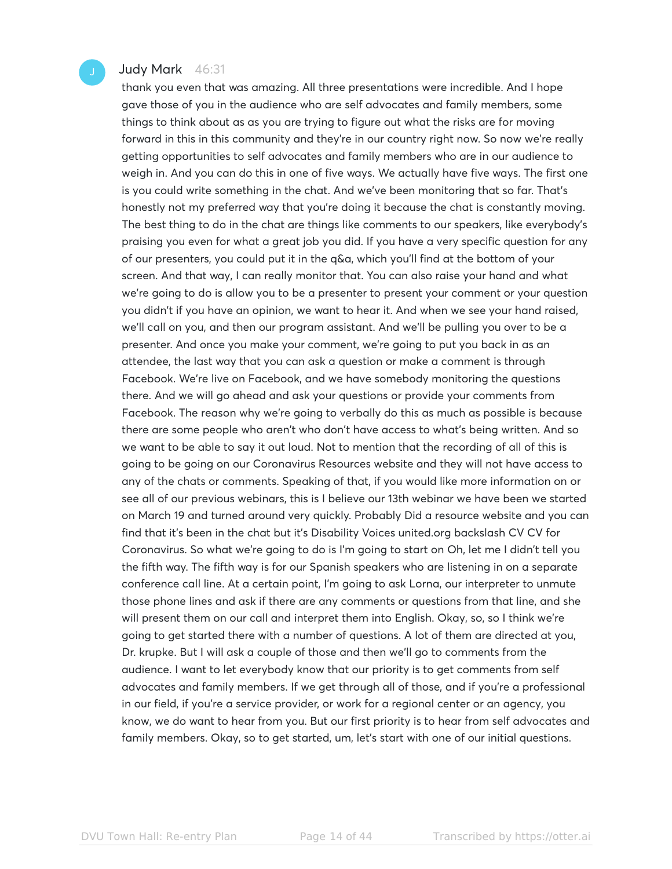### Judy Mark 46:31

thank you even that was amazing. All three presentations were incredible. And I hope gave those of you in the audience who are self advocates and family members, some things to think about as as you are trying to figure out what the risks are for moving forward in this in this community and they're in our country right now. So now we're really getting opportunities to self advocates and family members who are in our audience to weigh in. And you can do this in one of five ways. We actually have five ways. The first one is you could write something in the chat. And we've been monitoring that so far. That's honestly not my preferred way that you're doing it because the chat is constantly moving. The best thing to do in the chat are things like comments to our speakers, like everybody's praising you even for what a great job you did. If you have a very specific question for any of our presenters, you could put it in the q&a, which you'll find at the bottom of your screen. And that way, I can really monitor that. You can also raise your hand and what we're going to do is allow you to be a presenter to present your comment or your question you didn't if you have an opinion, we want to hear it. And when we see your hand raised, we'll call on you, and then our program assistant. And we'll be pulling you over to be a presenter. And once you make your comment, we're going to put you back in as an attendee, the last way that you can ask a question or make a comment is through Facebook. We're live on Facebook, and we have somebody monitoring the questions there. And we will go ahead and ask your questions or provide your comments from Facebook. The reason why we're going to verbally do this as much as possible is because there are some people who aren't who don't have access to what's being written. And so we want to be able to say it out loud. Not to mention that the recording of all of this is going to be going on our Coronavirus Resources website and they will not have access to any of the chats or comments. Speaking of that, if you would like more information on or see all of our previous webinars, this is I believe our 13th webinar we have been we started on March 19 and turned around very quickly. Probably Did a resource website and you can find that it's been in the chat but it's Disability Voices united.org backslash CV CV for Coronavirus. So what we're going to do is I'm going to start on Oh, let me I didn't tell you the fifth way. The fifth way is for our Spanish speakers who are listening in on a separate conference call line. At a certain point, I'm going to ask Lorna, our interpreter to unmute those phone lines and ask if there are any comments or questions from that line, and she will present them on our call and interpret them into English. Okay, so, so I think we're going to get started there with a number of questions. A lot of them are directed at you, Dr. krupke. But I will ask a couple of those and then we'll go to comments from the audience. I want to let everybody know that our priority is to get comments from self advocates and family members. If we get through all of those, and if you're a professional in our field, if you're a service provider, or work for a regional center or an agency, you know, we do want to hear from you. But our first priority is to hear from self advocates and family members. Okay, so to get started, um, let's start with one of our initial questions.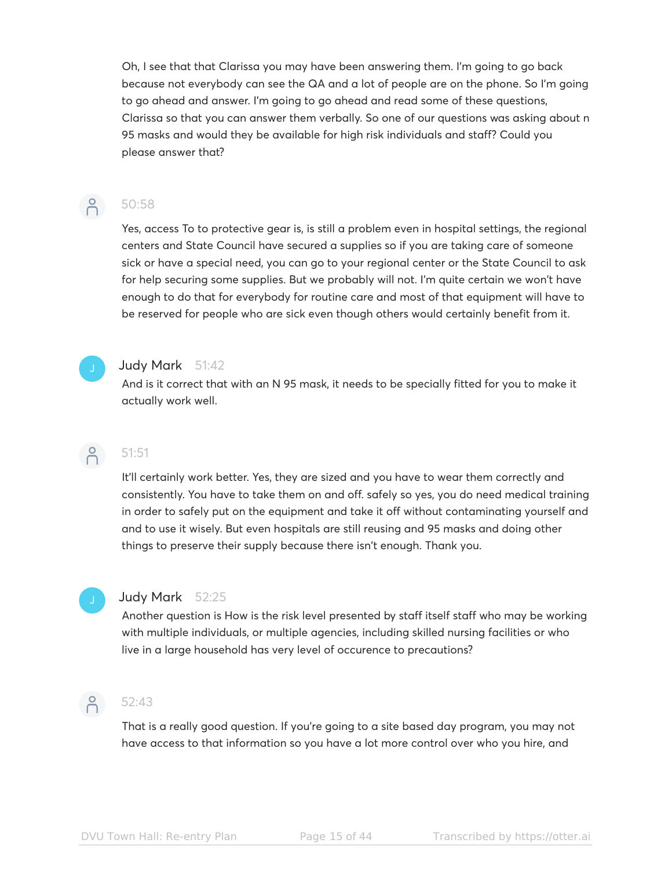Oh, I see that that Clarissa you may have been answering them. I'm going to go back because not everybody can see the QA and a lot of people are on the phone. So I'm going to go ahead and answer. I'm going to go ahead and read some of these questions, Clarissa so that you can answer them verbally. So one of our questions was asking about n 95 masks and would they be available for high risk individuals and staff? Could you please answer that?

### $\beta$ 50:58

Yes, access To to protective gear is, is still a problem even in hospital settings, the regional centers and State Council have secured a supplies so if you are taking care of someone sick or have a special need, you can go to your regional center or the State Council to ask for help securing some supplies. But we probably will not. I'm quite certain we won't have enough to do that for everybody for routine care and most of that equipment will have to be reserved for people who are sick even though others would certainly benefit from it.

### Judy Mark 51:42

And is it correct that with an N 95 mask, it needs to be specially fitted for you to make it actually work well.

### $\bigcap^{\circ}$ 51:51

It'll certainly work better. Yes, they are sized and you have to wear them correctly and consistently. You have to take them on and off. safely so yes, you do need medical training in order to safely put on the equipment and take it off without contaminating yourself and and to use it wisely. But even hospitals are still reusing and 95 masks and doing other things to preserve their supply because there isn't enough. Thank you.

### Judy Mark 52:25

Another question is How is the risk level presented by staff itself staff who may be working with multiple individuals, or multiple agencies, including skilled nursing facilities or who live in a large household has very level of occurence to precautions?

## 6 52:43

That is a really good question. If you're going to a site based day program, you may not have access to that information so you have a lot more control over who you hire, and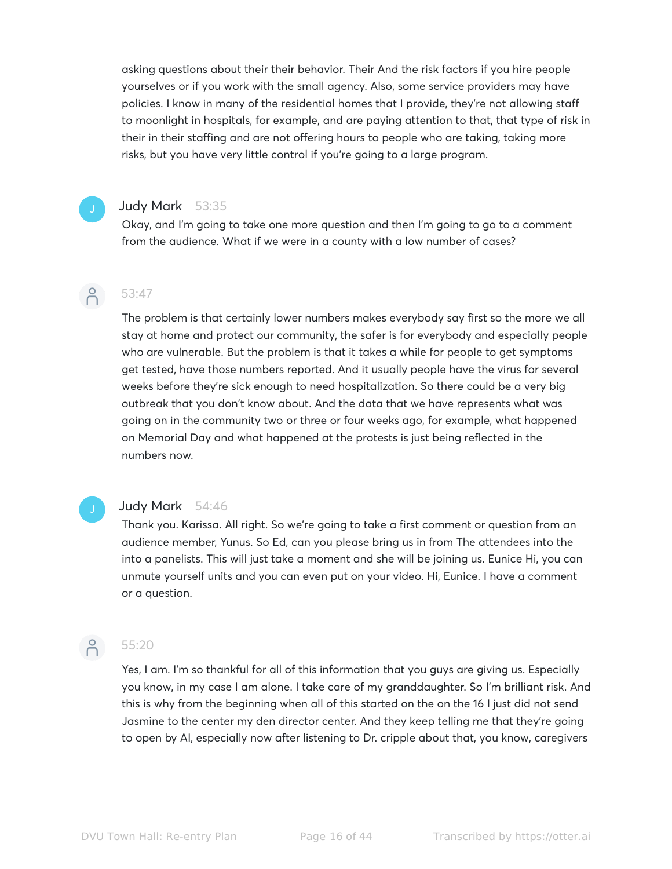asking questions about their their behavior. Their And the risk factors if you hire people yourselves or if you work with the small agency. Also, some service providers may have policies. I know in many of the residential homes that I provide, they're not allowing staff to moonlight in hospitals, for example, and are paying attention to that, that type of risk in their in their staffing and are not offering hours to people who are taking, taking more risks, but you have very little control if you're going to a large program.

### Judy Mark 53:35

Okay, and I'm going to take one more question and then I'm going to go to a comment from the audience. What if we were in a county with a low number of cases?

### $\beta$ 53:47

The problem is that certainly lower numbers makes everybody say first so the more we all stay at home and protect our community, the safer is for everybody and especially people who are vulnerable. But the problem is that it takes a while for people to get symptoms get tested, have those numbers reported. And it usually people have the virus for several weeks before they're sick enough to need hospitalization. So there could be a very big outbreak that you don't know about. And the data that we have represents what was going on in the community two or three or four weeks ago, for example, what happened on Memorial Day and what happened at the protests is just being reflected in the numbers now.

### Judy Mark 54:46

Thank you. Karissa. All right. So we're going to take a first comment or question from an audience member, Yunus. So Ed, can you please bring us in from The attendees into the into a panelists. This will just take a moment and she will be joining us. Eunice Hi, you can unmute yourself units and you can even put on your video. Hi, Eunice. I have a comment or a question.



### 55:20

Yes, I am. I'm so thankful for all of this information that you guys are giving us. Especially you know, in my case I am alone. I take care of my granddaughter. So I'm brilliant risk. And this is why from the beginning when all of this started on the on the 16 I just did not send Jasmine to the center my den director center. And they keep telling me that they're going to open by AI, especially now after listening to Dr. cripple about that, you know, caregivers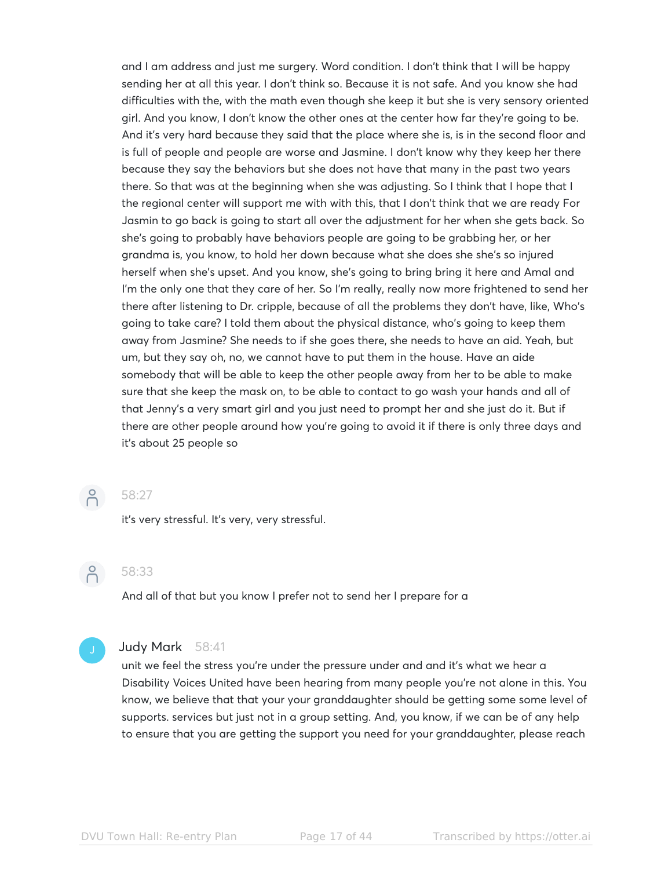and I am address and just me surgery. Word condition. I don't think that I will be happy sending her at all this year. I don't think so. Because it is not safe. And you know she had difficulties with the, with the math even though she keep it but she is very sensory oriented girl. And you know, I don't know the other ones at the center how far they're going to be. And it's very hard because they said that the place where she is, is in the second floor and is full of people and people are worse and Jasmine. I don't know why they keep her there because they say the behaviors but she does not have that many in the past two years there. So that was at the beginning when she was adjusting. So I think that I hope that I the regional center will support me with with this, that I don't think that we are ready For Jasmin to go back is going to start all over the adjustment for her when she gets back. So she's going to probably have behaviors people are going to be grabbing her, or her grandma is, you know, to hold her down because what she does she she's so injured herself when she's upset. And you know, she's going to bring bring it here and Amal and I'm the only one that they care of her. So I'm really, really now more frightened to send her there after listening to Dr. cripple, because of all the problems they don't have, like, Who's going to take care? I told them about the physical distance, who's going to keep them away from Jasmine? She needs to if she goes there, she needs to have an aid. Yeah, but um, but they say oh, no, we cannot have to put them in the house. Have an aide somebody that will be able to keep the other people away from her to be able to make sure that she keep the mask on, to be able to contact to go wash your hands and all of that Jenny's a very smart girl and you just need to prompt her and she just do it. But if there are other people around how you're going to avoid it if there is only three days and it's about 25 people so



### 58:27

it's very stressful. It's very, very stressful.



### 58:33

And all of that but you know I prefer not to send her I prepare for a



### Judy Mark 58:41

unit we feel the stress you're under the pressure under and and it's what we hear a Disability Voices United have been hearing from many people you're not alone in this. You know, we believe that that your your granddaughter should be getting some some level of supports. services but just not in a group setting. And, you know, if we can be of any help to ensure that you are getting the support you need for your granddaughter, please reach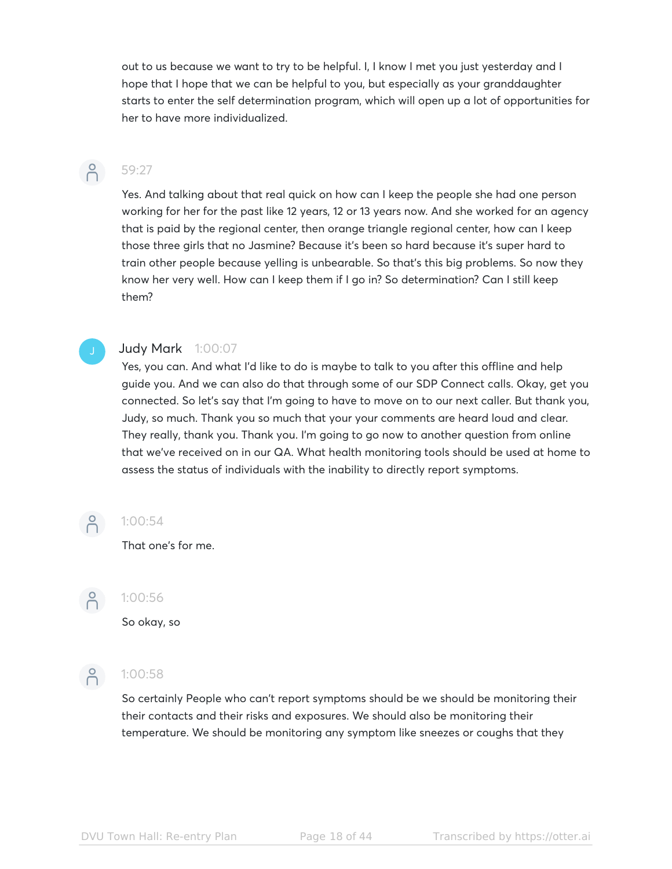out to us because we want to try to be helpful. I, I know I met you just yesterday and I hope that I hope that we can be helpful to you, but especially as your granddaughter starts to enter the self determination program, which will open up a lot of opportunities for her to have more individualized.

### $\bigcap$

## 59:27

Yes. And talking about that real quick on how can I keep the people she had one person working for her for the past like 12 years, 12 or 13 years now. And she worked for an agency that is paid by the regional center, then orange triangle regional center, how can I keep those three girls that no Jasmine? Because it's been so hard because it's super hard to train other people because yelling is unbearable. So that's this big problems. So now they know her very well. How can I keep them if I go in? So determination? Can I still keep them?

### Judy Mark 1:00:07

Yes, you can. And what I'd like to do is maybe to talk to you after this offline and help guide you. And we can also do that through some of our SDP Connect calls. Okay, get you connected. So let's say that I'm going to have to move on to our next caller. But thank you, Judy, so much. Thank you so much that your your comments are heard loud and clear. They really, thank you. Thank you. I'm going to go now to another question from online that we've received on in our QA. What health monitoring tools should be used at home to assess the status of individuals with the inability to directly report symptoms.



### 1:00:54

That one's for me.



### $-2$  1:00:56

So okay, so



## $-21:00:58$

So certainly People who can't report symptoms should be we should be monitoring their their contacts and their risks and exposures. We should also be monitoring their temperature. We should be monitoring any symptom like sneezes or coughs that they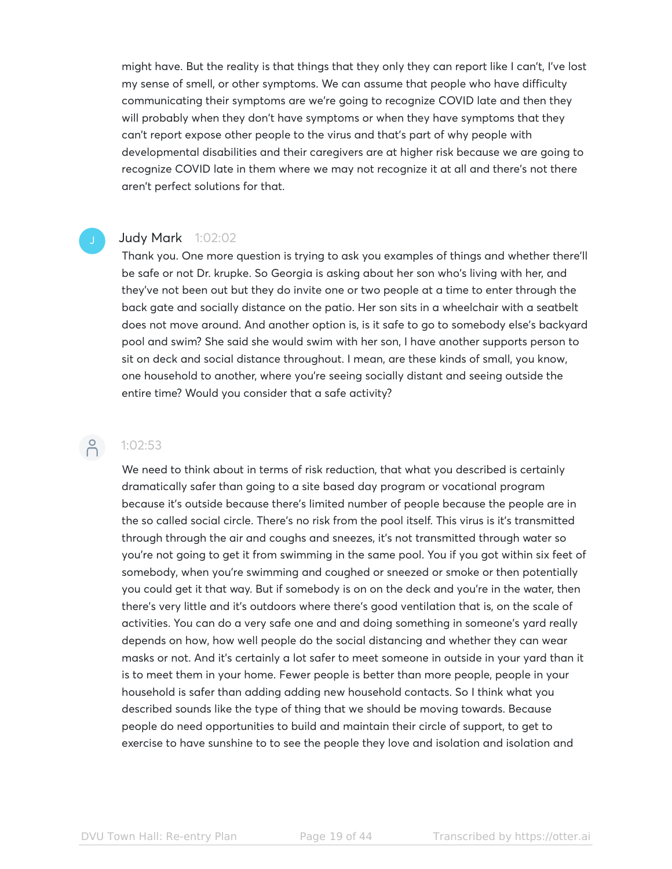might have. But the reality is that things that they only they can report like I can't, I've lost my sense of smell, or other symptoms. We can assume that people who have difficulty communicating their symptoms are we're going to recognize COVID late and then they will probably when they don't have symptoms or when they have symptoms that they can't report expose other people to the virus and that's part of why people with developmental disabilities and their caregivers are at higher risk because we are going to recognize COVID late in them where we may not recognize it at all and there's not there aren't perfect solutions for that.

### Judy Mark 1:02:02

Thank you. One more question is trying to ask you examples of things and whether there'll be safe or not Dr. krupke. So Georgia is asking about her son who's living with her, and they've not been out but they do invite one or two people at a time to enter through the back gate and socially distance on the patio. Her son sits in a wheelchair with a seatbelt does not move around. And another option is, is it safe to go to somebody else's backyard pool and swim? She said she would swim with her son, I have another supports person to sit on deck and social distance throughout. I mean, are these kinds of small, you know, one household to another, where you're seeing socially distant and seeing outside the entire time? Would you consider that a safe activity?

### $-2$ :02:53

We need to think about in terms of risk reduction, that what you described is certainly dramatically safer than going to a site based day program or vocational program because it's outside because there's limited number of people because the people are in the so called social circle. There's no risk from the pool itself. This virus is it's transmitted through through the air and coughs and sneezes, it's not transmitted through water so you're not going to get it from swimming in the same pool. You if you got within six feet of somebody, when you're swimming and coughed or sneezed or smoke or then potentially you could get it that way. But if somebody is on on the deck and you're in the water, then there's very little and it's outdoors where there's good ventilation that is, on the scale of activities. You can do a very safe one and and doing something in someone's yard really depends on how, how well people do the social distancing and whether they can wear masks or not. And it's certainly a lot safer to meet someone in outside in your yard than it is to meet them in your home. Fewer people is better than more people, people in your household is safer than adding adding new household contacts. So I think what you described sounds like the type of thing that we should be moving towards. Because people do need opportunities to build and maintain their circle of support, to get to exercise to have sunshine to to see the people they love and isolation and isolation and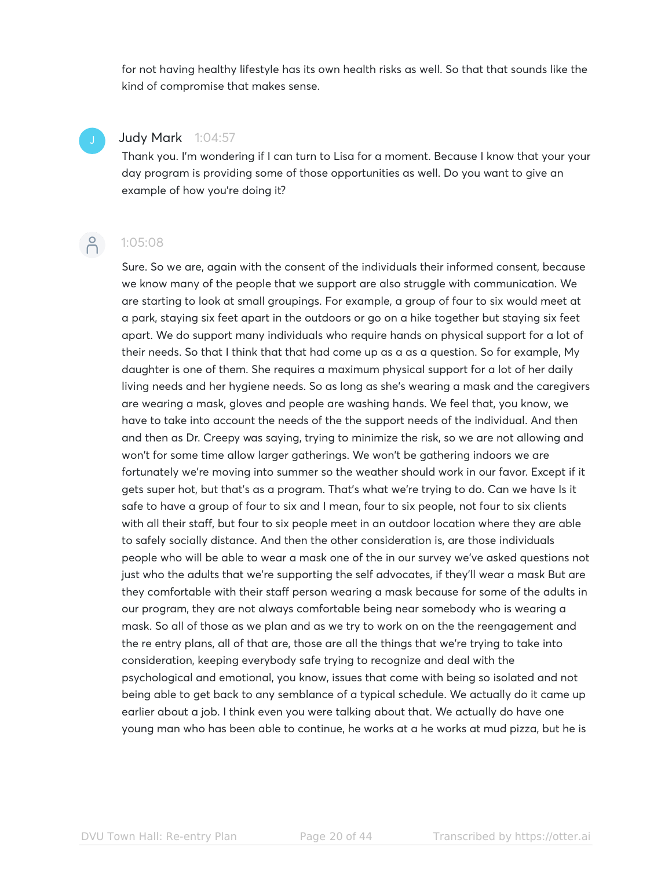for not having healthy lifestyle has its own health risks as well. So that that sounds like the kind of compromise that makes sense.

### Judy Mark 1:04:57

Thank you. I'm wondering if I can turn to Lisa for a moment. Because I know that your your day program is providing some of those opportunities as well. Do you want to give an example of how you're doing it?



### $-2$  1:05:08

Sure. So we are, again with the consent of the individuals their informed consent, because we know many of the people that we support are also struggle with communication. We are starting to look at small groupings. For example, a group of four to six would meet at a park, staying six feet apart in the outdoors or go on a hike together but staying six feet apart. We do support many individuals who require hands on physical support for a lot of their needs. So that I think that that had come up as a as a question. So for example, My daughter is one of them. She requires a maximum physical support for a lot of her daily living needs and her hygiene needs. So as long as she's wearing a mask and the caregivers are wearing a mask, gloves and people are washing hands. We feel that, you know, we have to take into account the needs of the the support needs of the individual. And then and then as Dr. Creepy was saying, trying to minimize the risk, so we are not allowing and won't for some time allow larger gatherings. We won't be gathering indoors we are fortunately we're moving into summer so the weather should work in our favor. Except if it gets super hot, but that's as a program. That's what we're trying to do. Can we have Is it safe to have a group of four to six and I mean, four to six people, not four to six clients with all their staff, but four to six people meet in an outdoor location where they are able to safely socially distance. And then the other consideration is, are those individuals people who will be able to wear a mask one of the in our survey we've asked questions not just who the adults that we're supporting the self advocates, if they'll wear a mask But are they comfortable with their staff person wearing a mask because for some of the adults in our program, they are not always comfortable being near somebody who is wearing a mask. So all of those as we plan and as we try to work on on the the reengagement and the re entry plans, all of that are, those are all the things that we're trying to take into consideration, keeping everybody safe trying to recognize and deal with the psychological and emotional, you know, issues that come with being so isolated and not being able to get back to any semblance of a typical schedule. We actually do it came up earlier about a job. I think even you were talking about that. We actually do have one young man who has been able to continue, he works at a he works at mud pizza, but he is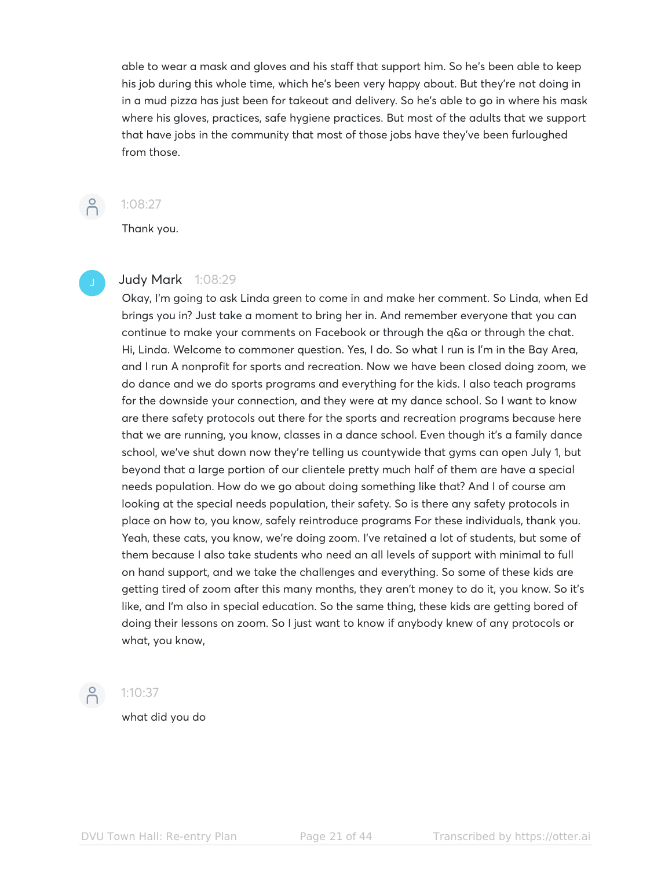able to wear a mask and gloves and his staff that support him. So he's been able to keep his job during this whole time, which he's been very happy about. But they're not doing in in a mud pizza has just been for takeout and delivery. So he's able to go in where his mask where his gloves, practices, safe hygiene practices. But most of the adults that we support that have jobs in the community that most of those jobs have they've been furloughed from those.



### 1:08:27

Thank you.

### Judy Mark 1:08:29

Okay, I'm going to ask Linda green to come in and make her comment. So Linda, when Ed brings you in? Just take a moment to bring her in. And remember everyone that you can continue to make your comments on Facebook or through the q&a or through the chat. Hi, Linda. Welcome to commoner question. Yes, I do. So what I run is I'm in the Bay Area, and I run A nonprofit for sports and recreation. Now we have been closed doing zoom, we do dance and we do sports programs and everything for the kids. I also teach programs for the downside your connection, and they were at my dance school. So I want to know are there safety protocols out there for the sports and recreation programs because here that we are running, you know, classes in a dance school. Even though it's a family dance school, we've shut down now they're telling us countywide that gyms can open July 1, but beyond that a large portion of our clientele pretty much half of them are have a special needs population. How do we go about doing something like that? And I of course am looking at the special needs population, their safety. So is there any safety protocols in place on how to, you know, safely reintroduce programs For these individuals, thank you. Yeah, these cats, you know, we're doing zoom. I've retained a lot of students, but some of them because I also take students who need an all levels of support with minimal to full on hand support, and we take the challenges and everything. So some of these kids are getting tired of zoom after this many months, they aren't money to do it, you know. So it's like, and I'm also in special education. So the same thing, these kids are getting bored of doing their lessons on zoom. So I just want to know if anybody knew of any protocols or what, you know,

### $-2$  1:10:37

what did you do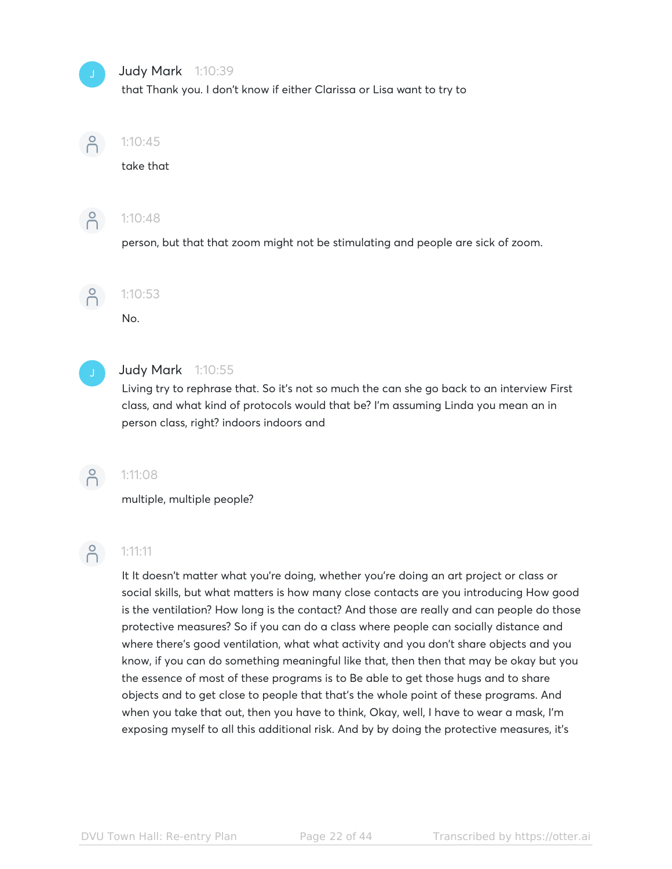### Judy Mark 1:10:39

that Thank you. I don't know if either Clarissa or Lisa want to try to



### 1:10:45

take that



### 1:10:48

person, but that that zoom might not be stimulating and people are sick of zoom.



# 1:10:53

No.



### Judy Mark 1:10:55

Living try to rephrase that. So it's not so much the can she go back to an interview First class, and what kind of protocols would that be? I'm assuming Linda you mean an in person class, right? indoors indoors and



### 1:11:08

multiple, multiple people?

# $\beta$

### 1:11:11

It It doesn't matter what you're doing, whether you're doing an art project or class or social skills, but what matters is how many close contacts are you introducing How good is the ventilation? How long is the contact? And those are really and can people do those protective measures? So if you can do a class where people can socially distance and where there's good ventilation, what what activity and you don't share objects and you know, if you can do something meaningful like that, then then that may be okay but you the essence of most of these programs is to Be able to get those hugs and to share objects and to get close to people that that's the whole point of these programs. And when you take that out, then you have to think, Okay, well, I have to wear a mask, I'm exposing myself to all this additional risk. And by by doing the protective measures, it's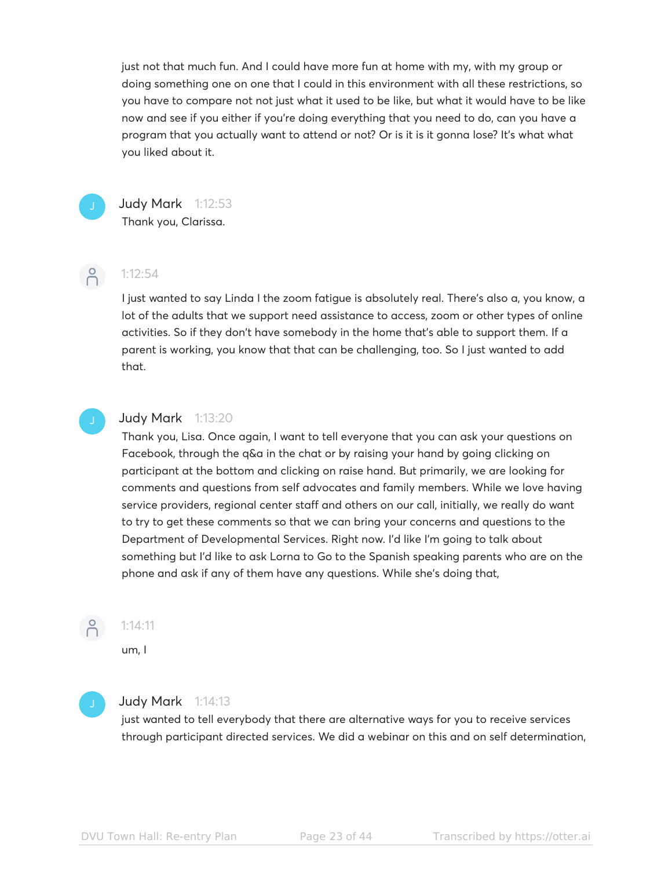just not that much fun. And I could have more fun at home with my, with my group or doing something one on one that I could in this environment with all these restrictions, so you have to compare not not just what it used to be like, but what it would have to be like now and see if you either if you're doing everything that you need to do, can you have a program that you actually want to attend or not? Or is it is it gonna lose? It's what what you liked about it.



### Judy Mark 1:12:53

Thank you, Clarissa.



### 1:12:54

I just wanted to say Linda I the zoom fatigue is absolutely real. There's also a, you know, a lot of the adults that we support need assistance to access, zoom or other types of online activities. So if they don't have somebody in the home that's able to support them. If a parent is working, you know that that can be challenging, too. So I just wanted to add that.

### Judy Mark 1:13:20

Thank you, Lisa. Once again, I want to tell everyone that you can ask your questions on Facebook, through the q&a in the chat or by raising your hand by going clicking on participant at the bottom and clicking on raise hand. But primarily, we are looking for comments and questions from self advocates and family members. While we love having service providers, regional center staff and others on our call, initially, we really do want to try to get these comments so that we can bring your concerns and questions to the Department of Developmental Services. Right now. I'd like I'm going to talk about something but I'd like to ask Lorna to Go to the Spanish speaking parents who are on the phone and ask if any of them have any questions. While she's doing that,



### 1:14:11

um, I



### **Judy Mark** 1:14:13

just wanted to tell everybody that there are alternative ways for you to receive services through participant directed services. We did a webinar on this and on self determination,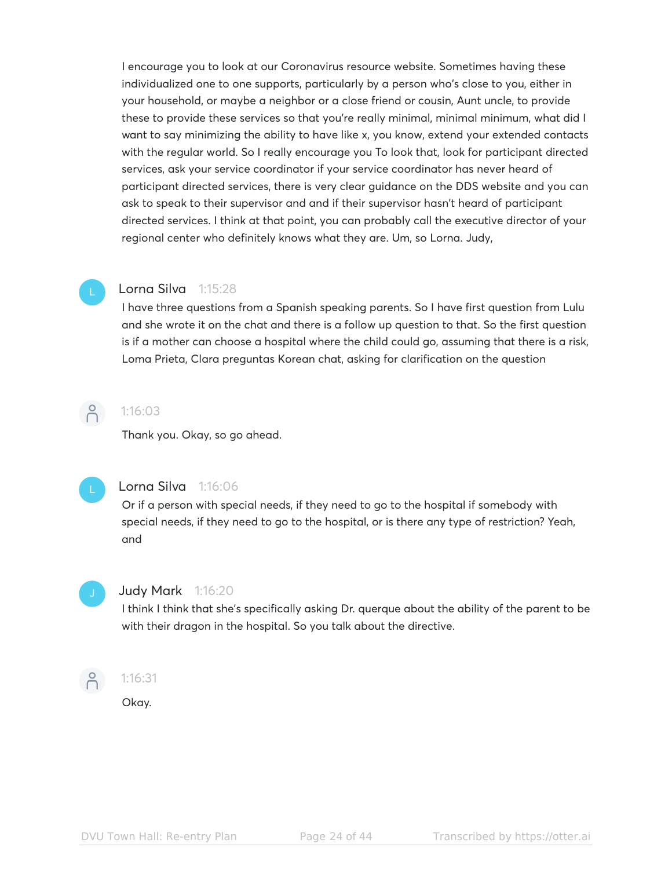I encourage you to look at our Coronavirus resource website. Sometimes having these individualized one to one supports, particularly by a person who's close to you, either in your household, or maybe a neighbor or a close friend or cousin, Aunt uncle, to provide these to provide these services so that you're really minimal, minimal minimum, what did I want to say minimizing the ability to have like x, you know, extend your extended contacts with the regular world. So I really encourage you To look that, look for participant directed services, ask your service coordinator if your service coordinator has never heard of participant directed services, there is very clear guidance on the DDS website and you can ask to speak to their supervisor and and if their supervisor hasn't heard of participant directed services. I think at that point, you can probably call the executive director of your regional center who definitely knows what they are. Um, so Lorna. Judy,

### Lorna Silva 1:15:28

I have three questions from a Spanish speaking parents. So I have first question from Lulu and she wrote it on the chat and there is a follow up question to that. So the first question is if a mother can choose a hospital where the child could go, assuming that there is a risk, Loma Prieta, Clara preguntas Korean chat, asking for clarification on the question



### 1:16:03

Thank you. Okay, so go ahead.



### Lorna Silva 1:16:06

Or if a person with special needs, if they need to go to the hospital if somebody with special needs, if they need to go to the hospital, or is there any type of restriction? Yeah, and



### Judy Mark 1:16:20

I think I think that she's specifically asking Dr. querque about the ability of the parent to be with their dragon in the hospital. So you talk about the directive.



### 1:16:31

Okay.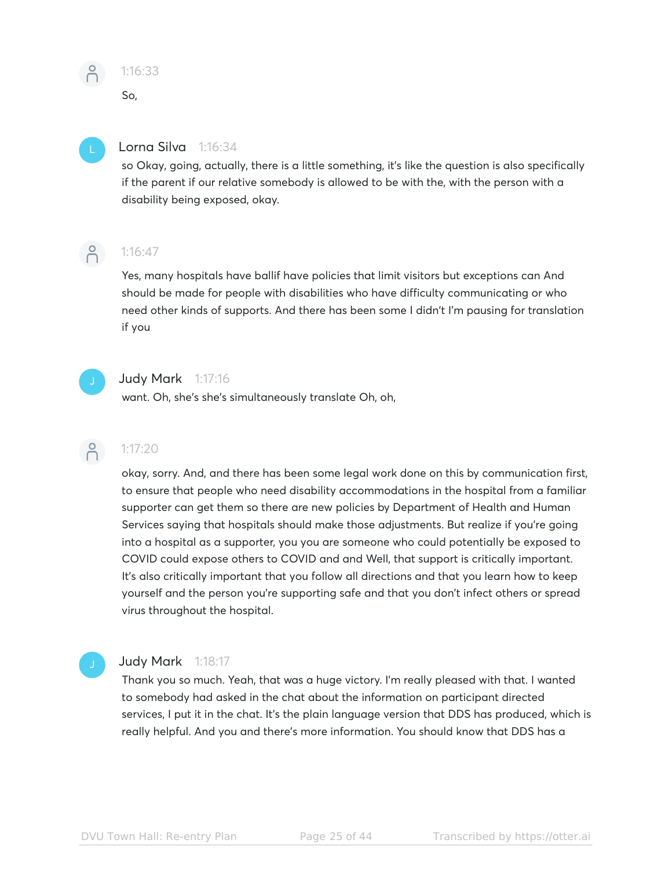

### 1:16:33

So,

### Lorna Silva 1:16:34

so Okay, going, actually, there is a little something, it's like the question is also specifically if the parent if our relative somebody is allowed to be with the, with the person with a disability being exposed, okay.



### 1:16:47

Yes, many hospitals have ballif have policies that limit visitors but exceptions can And should be made for people with disabilities who have difficulty communicating or who need other kinds of supports. And there has been some I didn't I'm pausing for translation if you



### Judy Mark 1:17:16

want. Oh, she's she's simultaneously translate Oh, oh,

### $\bigcap^{\circ}$ 1:17:20

okay, sorry. And, and there has been some legal work done on this by communication first, to ensure that people who need disability accommodations in the hospital from a familiar supporter can get them so there are new policies by Department of Health and Human Services saying that hospitals should make those adjustments. But realize if you're going into a hospital as a supporter, you you are someone who could potentially be exposed to COVID could expose others to COVID and and Well, that support is critically important. It's also critically important that you follow all directions and that you learn how to keep yourself and the person you're supporting safe and that you don't infect others or spread virus throughout the hospital.

### Judy Mark 1:18:17

Thank you so much. Yeah, that was a huge victory. I'm really pleased with that. I wanted to somebody had asked in the chat about the information on participant directed services, I put it in the chat. It's the plain language version that DDS has produced, which is really helpful. And you and there's more information. You should know that DDS has a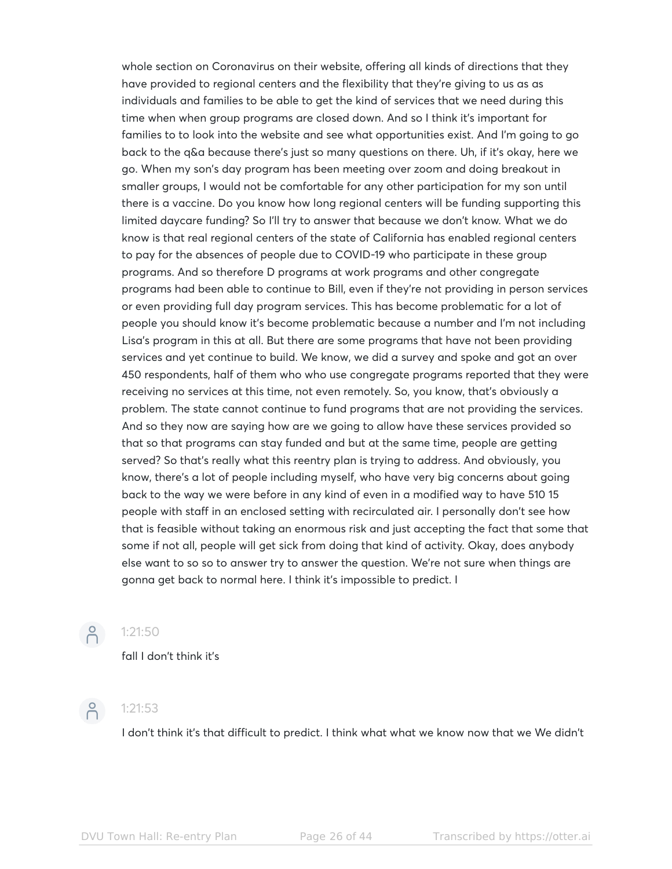whole section on Coronavirus on their website, offering all kinds of directions that they have provided to regional centers and the flexibility that they're giving to us as as individuals and families to be able to get the kind of services that we need during this time when when group programs are closed down. And so I think it's important for families to to look into the website and see what opportunities exist. And I'm going to go back to the q&a because there's just so many questions on there. Uh, if it's okay, here we go. When my son's day program has been meeting over zoom and doing breakout in smaller groups, I would not be comfortable for any other participation for my son until there is a vaccine. Do you know how long regional centers will be funding supporting this limited daycare funding? So I'll try to answer that because we don't know. What we do know is that real regional centers of the state of California has enabled regional centers to pay for the absences of people due to COVID-19 who participate in these group programs. And so therefore D programs at work programs and other congregate programs had been able to continue to Bill, even if they're not providing in person services or even providing full day program services. This has become problematic for a lot of people you should know it's become problematic because a number and I'm not including Lisa's program in this at all. But there are some programs that have not been providing services and yet continue to build. We know, we did a survey and spoke and got an over 450 respondents, half of them who who use congregate programs reported that they were receiving no services at this time, not even remotely. So, you know, that's obviously a problem. The state cannot continue to fund programs that are not providing the services. And so they now are saying how are we going to allow have these services provided so that so that programs can stay funded and but at the same time, people are getting served? So that's really what this reentry plan is trying to address. And obviously, you know, there's a lot of people including myself, who have very big concerns about going back to the way we were before in any kind of even in a modified way to have 510 15 people with staff in an enclosed setting with recirculated air. I personally don't see how that is feasible without taking an enormous risk and just accepting the fact that some that some if not all, people will get sick from doing that kind of activity. Okay, does anybody else want to so so to answer try to answer the question. We're not sure when things are gonna get back to normal here. I think it's impossible to predict. I



### $\binom{9}{0}$  1:21:50

fall I don't think it's



## $\binom{9}{1}$  1:21:53

I don't think it's that difficult to predict. I think what what we know now that we We didn't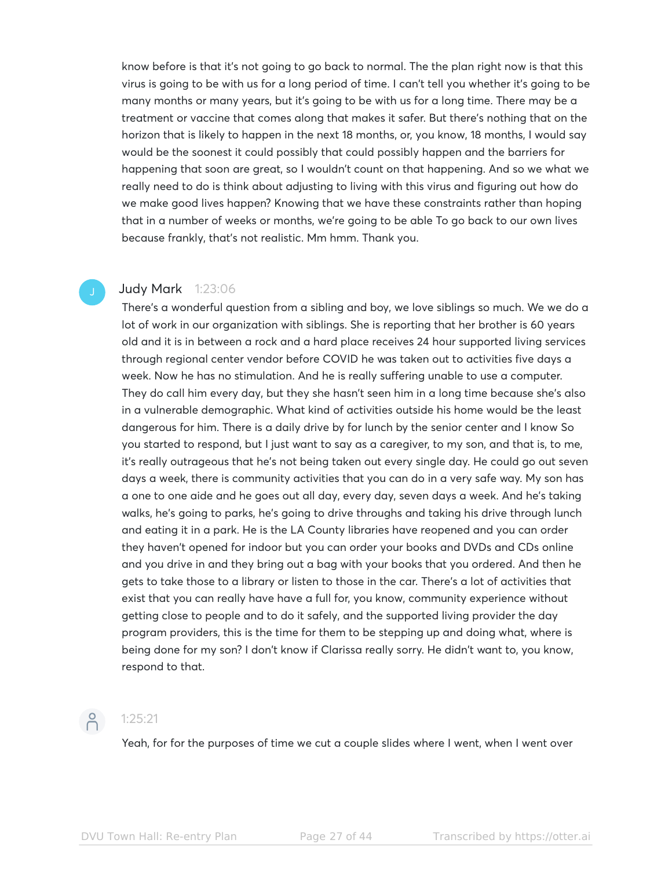know before is that it's not going to go back to normal. The the plan right now is that this virus is going to be with us for a long period of time. I can't tell you whether it's going to be many months or many years, but it's going to be with us for a long time. There may be a treatment or vaccine that comes along that makes it safer. But there's nothing that on the horizon that is likely to happen in the next 18 months, or, you know, 18 months, I would say would be the soonest it could possibly that could possibly happen and the barriers for happening that soon are great, so I wouldn't count on that happening. And so we what we really need to do is think about adjusting to living with this virus and figuring out how do we make good lives happen? Knowing that we have these constraints rather than hoping that in a number of weeks or months, we're going to be able To go back to our own lives because frankly, that's not realistic. Mm hmm. Thank you.

### Judy Mark 1:23:06

There's a wonderful question from a sibling and boy, we love siblings so much. We we do a lot of work in our organization with siblings. She is reporting that her brother is 60 years old and it is in between a rock and a hard place receives 24 hour supported living services through regional center vendor before COVID he was taken out to activities five days a week. Now he has no stimulation. And he is really suffering unable to use a computer. They do call him every day, but they she hasn't seen him in a long time because she's also in a vulnerable demographic. What kind of activities outside his home would be the least dangerous for him. There is a daily drive by for lunch by the senior center and I know So you started to respond, but I just want to say as a caregiver, to my son, and that is, to me, it's really outrageous that he's not being taken out every single day. He could go out seven days a week, there is community activities that you can do in a very safe way. My son has a one to one aide and he goes out all day, every day, seven days a week. And he's taking walks, he's going to parks, he's going to drive throughs and taking his drive through lunch and eating it in a park. He is the LA County libraries have reopened and you can order they haven't opened for indoor but you can order your books and DVDs and CDs online and you drive in and they bring out a bag with your books that you ordered. And then he gets to take those to a library or listen to those in the car. There's a lot of activities that exist that you can really have have a full for, you know, community experience without getting close to people and to do it safely, and the supported living provider the day program providers, this is the time for them to be stepping up and doing what, where is being done for my son? I don't know if Clarissa really sorry. He didn't want to, you know, respond to that.



### $\binom{9}{1}$  1:25:21

Yeah, for for the purposes of time we cut a couple slides where I went, when I went over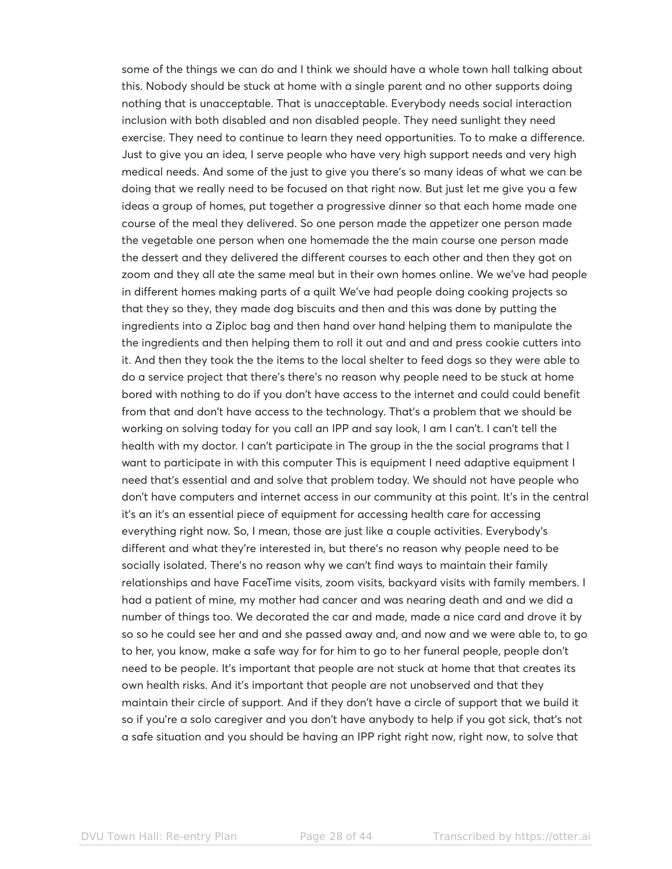some of the things we can do and I think we should have a whole town hall talking about this. Nobody should be stuck at home with a single parent and no other supports doing nothing that is unacceptable. That is unacceptable. Everybody needs social interaction inclusion with both disabled and non disabled people. They need sunlight they need exercise. They need to continue to learn they need opportunities. To to make a difference. Just to give you an idea, I serve people who have very high support needs and very high medical needs. And some of the just to give you there's so many ideas of what we can be doing that we really need to be focused on that right now. But just let me give you a few ideas a group of homes, put together a progressive dinner so that each home made one course of the meal they delivered. So one person made the appetizer one person made the vegetable one person when one homemade the the main course one person made the dessert and they delivered the different courses to each other and then they got on zoom and they all ate the same meal but in their own homes online. We we've had people in different homes making parts of a quilt We've had people doing cooking projects so that they so they, they made dog biscuits and then and this was done by putting the ingredients into a Ziploc bag and then hand over hand helping them to manipulate the the ingredients and then helping them to roll it out and and and press cookie cutters into it. And then they took the the items to the local shelter to feed dogs so they were able to do a service project that there's there's no reason why people need to be stuck at home bored with nothing to do if you don't have access to the internet and could could benefit from that and don't have access to the technology. That's a problem that we should be working on solving today for you call an IPP and say look, I am I can't. I can't tell the health with my doctor. I can't participate in The group in the the social programs that I want to participate in with this computer This is equipment I need adaptive equipment I need that's essential and and solve that problem today. We should not have people who don't have computers and internet access in our community at this point. It's in the central it's an it's an essential piece of equipment for accessing health care for accessing everything right now. So, I mean, those are just like a couple activities. Everybody's different and what they're interested in, but there's no reason why people need to be socially isolated. There's no reason why we can't find ways to maintain their family relationships and have FaceTime visits, zoom visits, backyard visits with family members. I had a patient of mine, my mother had cancer and was nearing death and and we did a number of things too. We decorated the car and made, made a nice card and drove it by so so he could see her and and she passed away and, and now and we were able to, to go to her, you know, make a safe way for for him to go to her funeral people, people don't need to be people. It's important that people are not stuck at home that that creates its own health risks. And it's important that people are not unobserved and that they maintain their circle of support. And if they don't have a circle of support that we build it so if you're a solo caregiver and you don't have anybody to help if you got sick, that's not a safe situation and you should be having an IPP right right now, right now, to solve that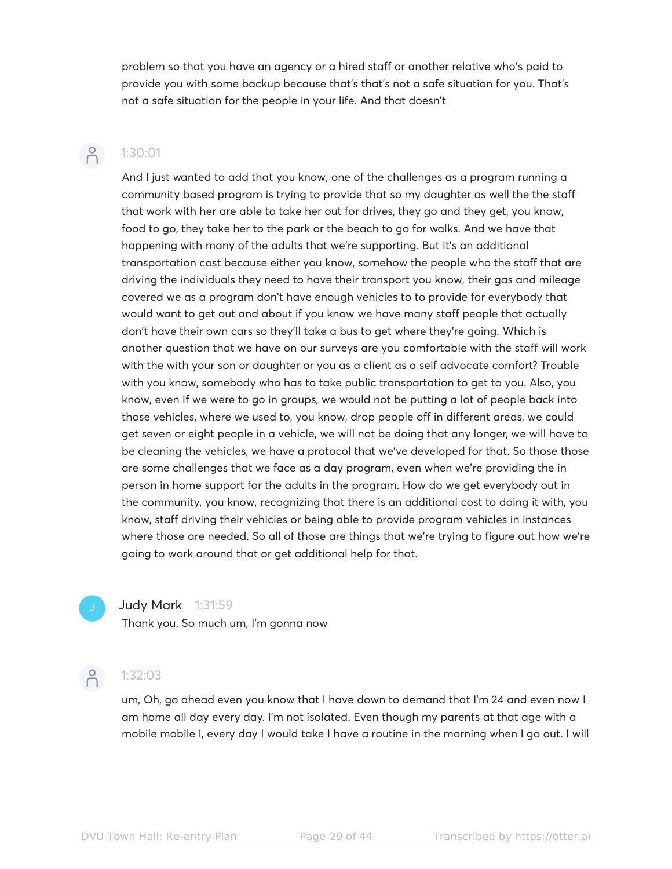problem so that you have an agency or a hired staff or another relative who's paid to provide you with some backup because that's that's not a safe situation for you. That's not a safe situation for the people in your life. And that doesn't

### $\bigcap^{\circ}$ 1:30:01

And I just wanted to add that you know, one of the challenges as a program running a community based program is trying to provide that so my daughter as well the the staff that work with her are able to take her out for drives, they go and they get, you know, food to go, they take her to the park or the beach to go for walks. And we have that happening with many of the adults that we're supporting. But it's an additional transportation cost because either you know, somehow the people who the staff that are driving the individuals they need to have their transport you know, their gas and mileage covered we as a program don't have enough vehicles to to provide for everybody that would want to get out and about if you know we have many staff people that actually don't have their own cars so they'll take a bus to get where they're going. Which is another question that we have on our surveys are you comfortable with the staff will work with the with your son or daughter or you as a client as a self advocate comfort? Trouble with you know, somebody who has to take public transportation to get to you. Also, you know, even if we were to go in groups, we would not be putting a lot of people back into those vehicles, where we used to, you know, drop people off in different areas, we could get seven or eight people in a vehicle, we will not be doing that any longer, we will have to be cleaning the vehicles, we have a protocol that we've developed for that. So those those are some challenges that we face as a day program, even when we're providing the in person in home support for the adults in the program. How do we get everybody out in the community, you know, recognizing that there is an additional cost to doing it with, you know, staff driving their vehicles or being able to provide program vehicles in instances where those are needed. So all of those are things that we're trying to figure out how we're going to work around that or get additional help for that.

### Judy Mark 1:31:59

Thank you. So much um, I'm gonna now



### P 1:32:03

um, Oh, go ahead even you know that I have down to demand that I'm 24 and even now I am home all day every day. I'm not isolated. Even though my parents at that age with a mobile mobile I, every day I would take I have a routine in the morning when I go out. I will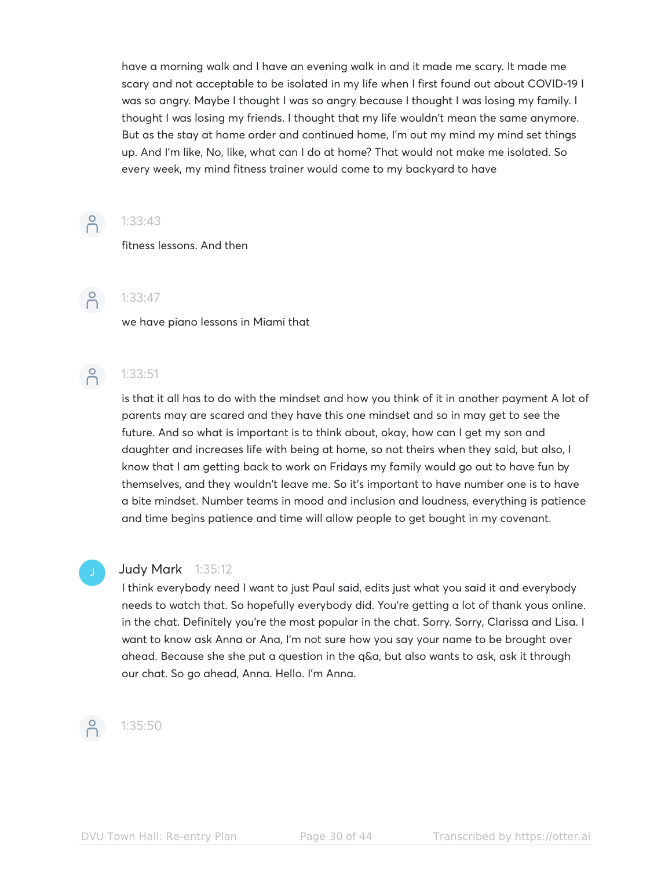have a morning walk and I have an evening walk in and it made me scary. It made me scary and not acceptable to be isolated in my life when I first found out about COVID-19 I was so angry. Maybe I thought I was so angry because I thought I was losing my family. I thought I was losing my friends. I thought that my life wouldn't mean the same anymore. But as the stay at home order and continued home, I'm out my mind my mind set things up. And I'm like, No, like, what can I do at home? That would not make me isolated. So every week, my mind fitness trainer would come to my backyard to have



### 1:33:43

fitness lessons. And then



## $-2$  1:33:47

we have piano lessons in Miami that



# $\overline{P}$  1:33:51

is that it all has to do with the mindset and how you think of it in another payment A lot of parents may are scared and they have this one mindset and so in may get to see the future. And so what is important is to think about, okay, how can I get my son and daughter and increases life with being at home, so not theirs when they said, but also, I know that I am getting back to work on Fridays my family would go out to have fun by themselves, and they wouldn't leave me. So it's important to have number one is to have a bite mindset. Number teams in mood and inclusion and loudness, everything is patience and time begins patience and time will allow people to get bought in my covenant.

### **Judy Mark** 1:35:12

I think everybody need I want to just Paul said, edits just what you said it and everybody needs to watch that. So hopefully everybody did. You're getting a lot of thank yous online. in the chat. Definitely you're the most popular in the chat. Sorry. Sorry, Clarissa and Lisa. I want to know ask Anna or Ana, I'm not sure how you say your name to be brought over ahead. Because she she put a question in the q&a, but also wants to ask, ask it through our chat. So go ahead, Anna. Hello. I'm Anna.



### 1:35:50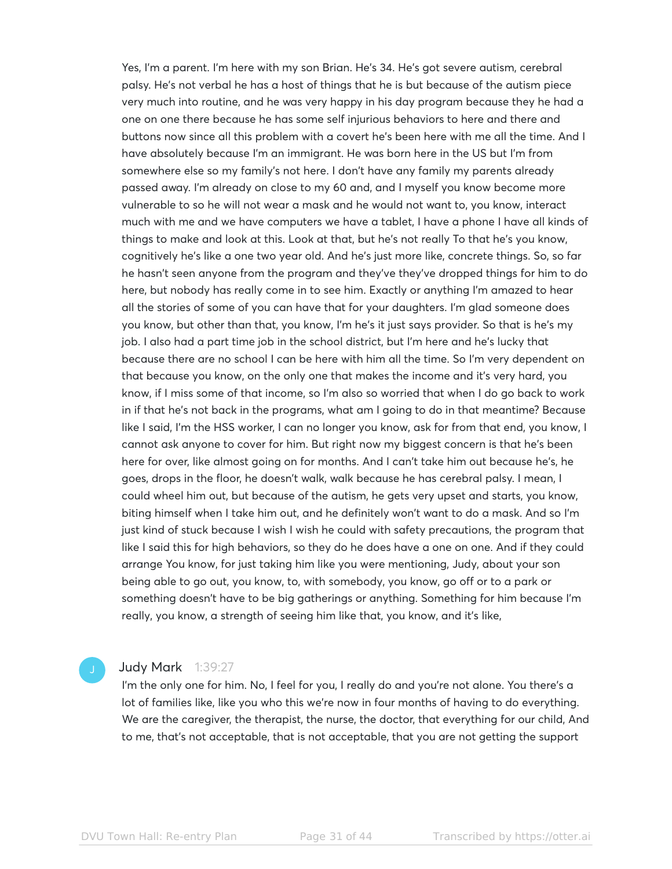Yes, I'm a parent. I'm here with my son Brian. He's 34. He's got severe autism, cerebral palsy. He's not verbal he has a host of things that he is but because of the autism piece very much into routine, and he was very happy in his day program because they he had a one on one there because he has some self injurious behaviors to here and there and buttons now since all this problem with a covert he's been here with me all the time. And I have absolutely because I'm an immigrant. He was born here in the US but I'm from somewhere else so my family's not here. I don't have any family my parents already passed away. I'm already on close to my 60 and, and I myself you know become more vulnerable to so he will not wear a mask and he would not want to, you know, interact much with me and we have computers we have a tablet, I have a phone I have all kinds of things to make and look at this. Look at that, but he's not really To that he's you know, cognitively he's like a one two year old. And he's just more like, concrete things. So, so far he hasn't seen anyone from the program and they've they've dropped things for him to do here, but nobody has really come in to see him. Exactly or anything I'm amazed to hear all the stories of some of you can have that for your daughters. I'm glad someone does you know, but other than that, you know, I'm he's it just says provider. So that is he's my job. I also had a part time job in the school district, but I'm here and he's lucky that because there are no school I can be here with him all the time. So I'm very dependent on that because you know, on the only one that makes the income and it's very hard, you know, if I miss some of that income, so I'm also so worried that when I do go back to work in if that he's not back in the programs, what am I going to do in that meantime? Because like I said, I'm the HSS worker, I can no longer you know, ask for from that end, you know, I cannot ask anyone to cover for him. But right now my biggest concern is that he's been here for over, like almost going on for months. And I can't take him out because he's, he goes, drops in the floor, he doesn't walk, walk because he has cerebral palsy. I mean, I could wheel him out, but because of the autism, he gets very upset and starts, you know, biting himself when I take him out, and he definitely won't want to do a mask. And so I'm just kind of stuck because I wish I wish he could with safety precautions, the program that like I said this for high behaviors, so they do he does have a one on one. And if they could arrange You know, for just taking him like you were mentioning, Judy, about your son being able to go out, you know, to, with somebody, you know, go off or to a park or something doesn't have to be big gatherings or anything. Something for him because I'm really, you know, a strength of seeing him like that, you know, and it's like,

### **Judy Mark** 1:39:27

I'm the only one for him. No, I feel for you, I really do and you're not alone. You there's a lot of families like, like you who this we're now in four months of having to do everything. We are the caregiver, the therapist, the nurse, the doctor, that everything for our child, And to me, that's not acceptable, that is not acceptable, that you are not getting the support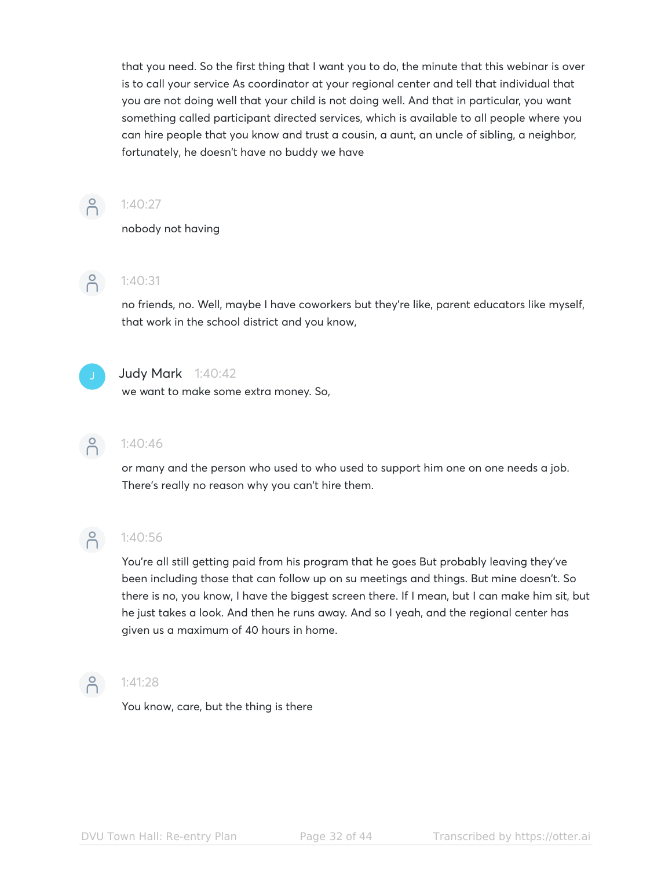that you need. So the first thing that I want you to do, the minute that this webinar is over is to call your service As coordinator at your regional center and tell that individual that you are not doing well that your child is not doing well. And that in particular, you want something called participant directed services, which is available to all people where you can hire people that you know and trust a cousin, a aunt, an uncle of sibling, a neighbor, fortunately, he doesn't have no buddy we have



### $-27$  1:40:27

nobody not having



## $-2$  1:40:31

no friends, no. Well, maybe I have coworkers but they're like, parent educators like myself, that work in the school district and you know,



### Judy Mark 1:40:42

we want to make some extra money. So,



## $-2$  1:40:46

or many and the person who used to who used to support him one on one needs a job. There's really no reason why you can't hire them.



## $-2$  1:40:56

You're all still getting paid from his program that he goes But probably leaving they've been including those that can follow up on su meetings and things. But mine doesn't. So there is no, you know, I have the biggest screen there. If I mean, but I can make him sit, but he just takes a look. And then he runs away. And so I yeah, and the regional center has given us a maximum of 40 hours in home.



## $\begin{pmatrix} 8 \\ 1 \end{pmatrix}$  1:41:28

You know, care, but the thing is there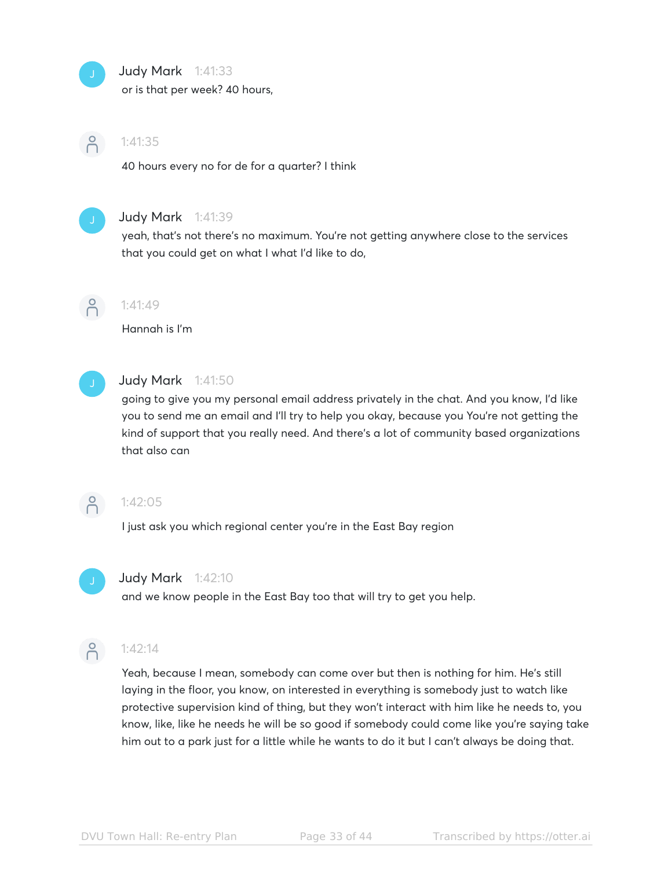

### Judy Mark 1:41:33

or is that per week? 40 hours,



### 1:41:35

40 hours every no for de for a quarter? I think



### **Judy Mark** 1:41:39

yeah, that's not there's no maximum. You're not getting anywhere close to the services that you could get on what I what I'd like to do,



### 1:41:49

Hannah is I'm



### Judy Mark 1:41:50

going to give you my personal email address privately in the chat. And you know, I'd like you to send me an email and I'll try to help you okay, because you You're not getting the kind of support that you really need. And there's a lot of community based organizations that also can



### 1:42:05

I just ask you which regional center you're in the East Bay region



### **Judy Mark** 1:42:10

and we know people in the East Bay too that will try to get you help.



### 1:42:14

Yeah, because I mean, somebody can come over but then is nothing for him. He's still laying in the floor, you know, on interested in everything is somebody just to watch like protective supervision kind of thing, but they won't interact with him like he needs to, you know, like, like he needs he will be so good if somebody could come like you're saying take him out to a park just for a little while he wants to do it but I can't always be doing that.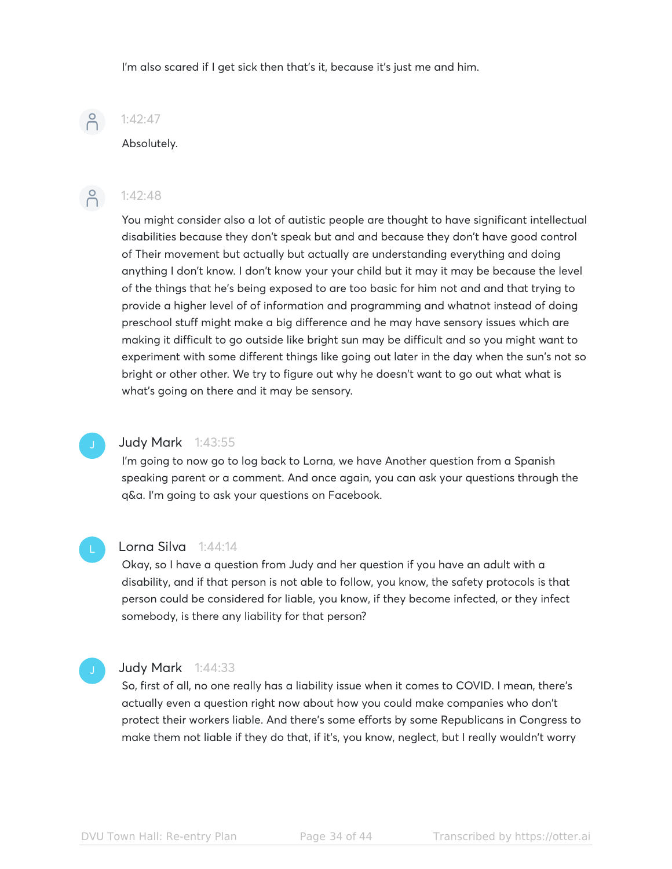I'm also scared if I get sick then that's it, because it's just me and him.

# $P$

### 1:42:47

Absolutely.



### $-2$ :42:48

You might consider also a lot of autistic people are thought to have significant intellectual disabilities because they don't speak but and and because they don't have good control of Their movement but actually but actually are understanding everything and doing anything I don't know. I don't know your your child but it may it may be because the level of the things that he's being exposed to are too basic for him not and and that trying to provide a higher level of of information and programming and whatnot instead of doing preschool stuff might make a big difference and he may have sensory issues which are making it difficult to go outside like bright sun may be difficult and so you might want to experiment with some different things like going out later in the day when the sun's not so bright or other other. We try to figure out why he doesn't want to go out what what is what's going on there and it may be sensory.

### Judy Mark 1:43:55

I'm going to now go to log back to Lorna, we have Another question from a Spanish speaking parent or a comment. And once again, you can ask your questions through the q&a. I'm going to ask your questions on Facebook.

### Lorna Silva 1:44:14

Okay, so I have a question from Judy and her question if you have an adult with a disability, and if that person is not able to follow, you know, the safety protocols is that person could be considered for liable, you know, if they become infected, or they infect somebody, is there any liability for that person?

### Judy Mark 1:44:33

So, first of all, no one really has a liability issue when it comes to COVID. I mean, there's actually even a question right now about how you could make companies who don't protect their workers liable. And there's some efforts by some Republicans in Congress to make them not liable if they do that, if it's, you know, neglect, but I really wouldn't worry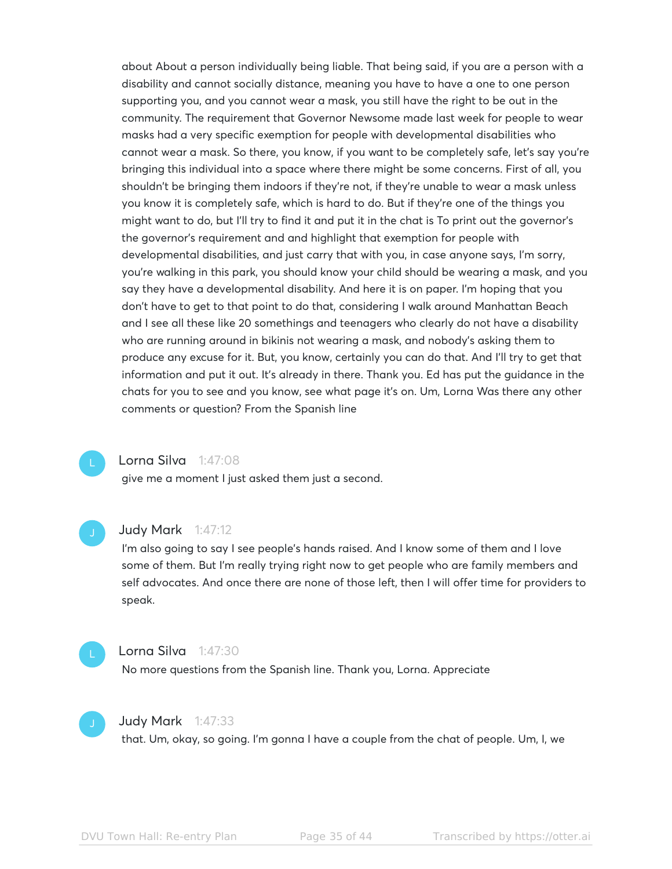about About a person individually being liable. That being said, if you are a person with a disability and cannot socially distance, meaning you have to have a one to one person supporting you, and you cannot wear a mask, you still have the right to be out in the community. The requirement that Governor Newsome made last week for people to wear masks had a very specific exemption for people with developmental disabilities who cannot wear a mask. So there, you know, if you want to be completely safe, let's say you're bringing this individual into a space where there might be some concerns. First of all, you shouldn't be bringing them indoors if they're not, if they're unable to wear a mask unless you know it is completely safe, which is hard to do. But if they're one of the things you might want to do, but I'll try to find it and put it in the chat is To print out the governor's the governor's requirement and and highlight that exemption for people with developmental disabilities, and just carry that with you, in case anyone says, I'm sorry, you're walking in this park, you should know your child should be wearing a mask, and you say they have a developmental disability. And here it is on paper. I'm hoping that you don't have to get to that point to do that, considering I walk around Manhattan Beach and I see all these like 20 somethings and teenagers who clearly do not have a disability who are running around in bikinis not wearing a mask, and nobody's asking them to produce any excuse for it. But, you know, certainly you can do that. And I'll try to get that information and put it out. It's already in there. Thank you. Ed has put the guidance in the chats for you to see and you know, see what page it's on. Um, Lorna Was there any other comments or question? From the Spanish line

### Lorna Silva 1:47:08

give me a moment I just asked them just a second.



### **Judy Mark** 1:47:12

I'm also going to say I see people's hands raised. And I know some of them and I love some of them. But I'm really trying right now to get people who are family members and self advocates. And once there are none of those left, then I will offer time for providers to speak.



### Lorna Silva 1:47:30

No more questions from the Spanish line. Thank you, Lorna. Appreciate



### **Judy Mark** 1:47:33

that. Um, okay, so going. I'm gonna I have a couple from the chat of people. Um, I, we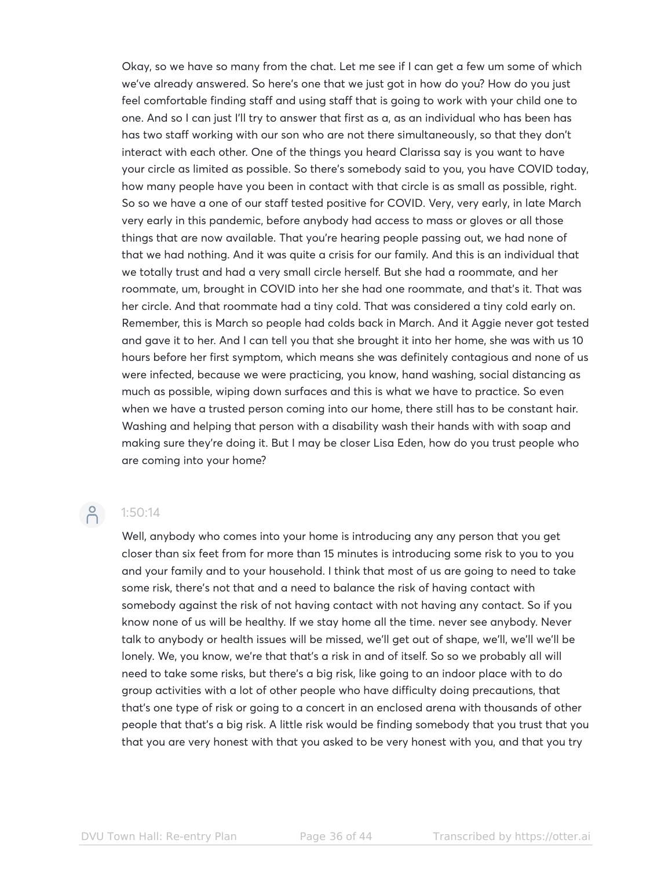Okay, so we have so many from the chat. Let me see if I can get a few um some of which we've already answered. So here's one that we just got in how do you? How do you just feel comfortable finding staff and using staff that is going to work with your child one to one. And so I can just I'll try to answer that first as a, as an individual who has been has has two staff working with our son who are not there simultaneously, so that they don't interact with each other. One of the things you heard Clarissa say is you want to have your circle as limited as possible. So there's somebody said to you, you have COVID today, how many people have you been in contact with that circle is as small as possible, right. So so we have a one of our staff tested positive for COVID. Very, very early, in late March very early in this pandemic, before anybody had access to mass or gloves or all those things that are now available. That you're hearing people passing out, we had none of that we had nothing. And it was quite a crisis for our family. And this is an individual that we totally trust and had a very small circle herself. But she had a roommate, and her roommate, um, brought in COVID into her she had one roommate, and that's it. That was her circle. And that roommate had a tiny cold. That was considered a tiny cold early on. Remember, this is March so people had colds back in March. And it Aggie never got tested and gave it to her. And I can tell you that she brought it into her home, she was with us 10 hours before her first symptom, which means she was definitely contagious and none of us were infected, because we were practicing, you know, hand washing, social distancing as much as possible, wiping down surfaces and this is what we have to practice. So even when we have a trusted person coming into our home, there still has to be constant hair. Washing and helping that person with a disability wash their hands with with soap and making sure they're doing it. But I may be closer Lisa Eden, how do you trust people who are coming into your home?

## $-2$  1:50:14

Well, anybody who comes into your home is introducing any any person that you get closer than six feet from for more than 15 minutes is introducing some risk to you to you and your family and to your household. I think that most of us are going to need to take some risk, there's not that and a need to balance the risk of having contact with somebody against the risk of not having contact with not having any contact. So if you know none of us will be healthy. If we stay home all the time. never see anybody. Never talk to anybody or health issues will be missed, we'll get out of shape, we'll, we'll we'll be lonely. We, you know, we're that that's a risk in and of itself. So so we probably all will need to take some risks, but there's a big risk, like going to an indoor place with to do group activities with a lot of other people who have difficulty doing precautions, that that's one type of risk or going to a concert in an enclosed arena with thousands of other people that that's a big risk. A little risk would be finding somebody that you trust that you that you are very honest with that you asked to be very honest with you, and that you try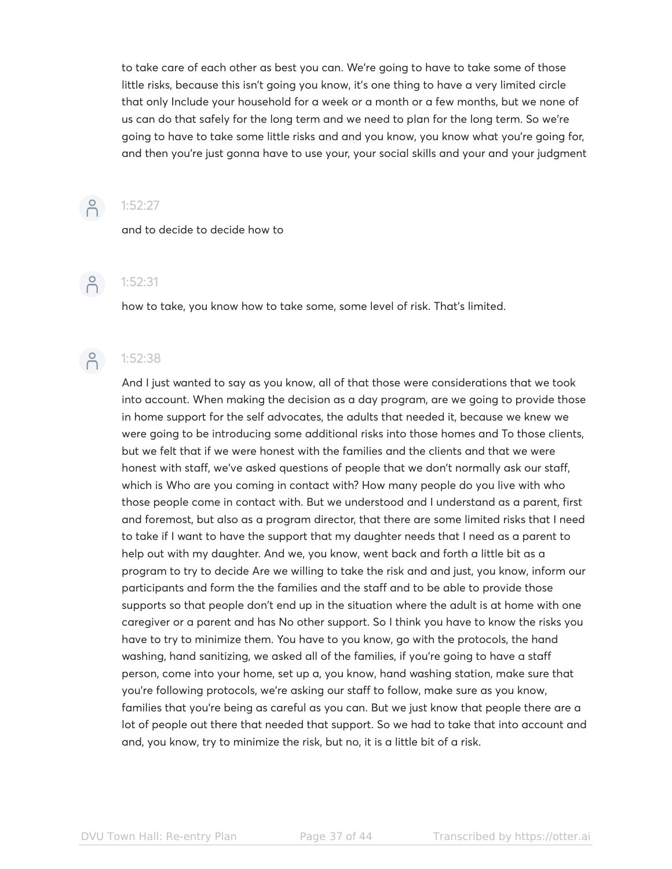to take care of each other as best you can. We're going to have to take some of those little risks, because this isn't going you know, it's one thing to have a very limited circle that only Include your household for a week or a month or a few months, but we none of us can do that safely for the long term and we need to plan for the long term. So we're going to have to take some little risks and and you know, you know what you're going for, and then you're just gonna have to use your, your social skills and your and your judgment



### $\bigcap_{1:52:27}$

and to decide to decide how to



## $-2$  1:52:31

how to take, you know how to take some, some level of risk. That's limited.



## $-2$ :52:38

And I just wanted to say as you know, all of that those were considerations that we took into account. When making the decision as a day program, are we going to provide those in home support for the self advocates, the adults that needed it, because we knew we were going to be introducing some additional risks into those homes and To those clients, but we felt that if we were honest with the families and the clients and that we were honest with staff, we've asked questions of people that we don't normally ask our staff, which is Who are you coming in contact with? How many people do you live with who those people come in contact with. But we understood and I understand as a parent, first and foremost, but also as a program director, that there are some limited risks that I need to take if I want to have the support that my daughter needs that I need as a parent to help out with my daughter. And we, you know, went back and forth a little bit as a program to try to decide Are we willing to take the risk and and just, you know, inform our participants and form the the families and the staff and to be able to provide those supports so that people don't end up in the situation where the adult is at home with one caregiver or a parent and has No other support. So I think you have to know the risks you have to try to minimize them. You have to you know, go with the protocols, the hand washing, hand sanitizing, we asked all of the families, if you're going to have a staff person, come into your home, set up a, you know, hand washing station, make sure that you're following protocols, we're asking our staff to follow, make sure as you know, families that you're being as careful as you can. But we just know that people there are a lot of people out there that needed that support. So we had to take that into account and and, you know, try to minimize the risk, but no, it is a little bit of a risk.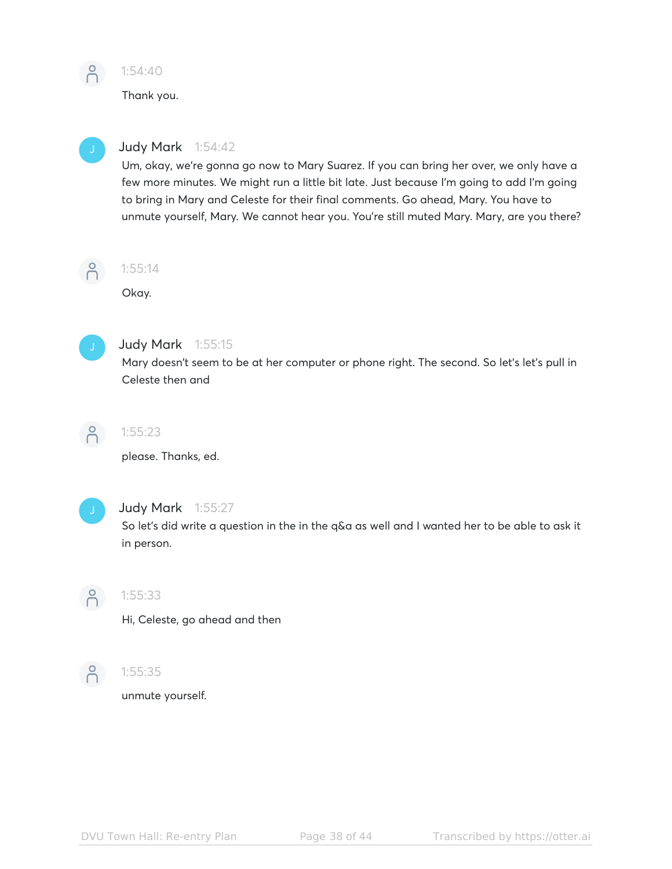

1:54:40

Thank you.



### Judy Mark 1:54:42

Um, okay, we're gonna go now to Mary Suarez. If you can bring her over, we only have a few more minutes. We might run a little bit late. Just because I'm going to add I'm going to bring in Mary and Celeste for their final comments. Go ahead, Mary. You have to unmute yourself, Mary. We cannot hear you. You're still muted Mary. Mary, are you there?



### 1:55:14

Okay.



### Judy Mark 1:55:15

Mary doesn't seem to be at her computer or phone right. The second. So let's let's pull in Celeste then and



### 1:55:23

please. Thanks, ed.



### Judy Mark 1:55:27

So let's did write a question in the in the q&a as well and I wanted her to be able to ask it in person.



### 1:55:33

Hi, Celeste, go ahead and then



### 1:55:35

unmute yourself.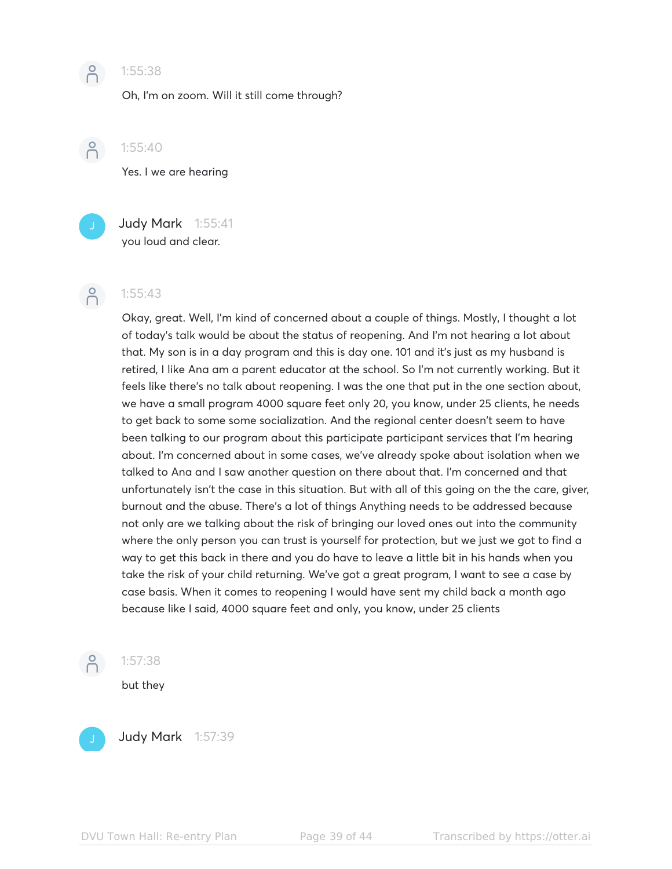

### **P** 1:55:38

Oh, I'm on zoom. Will it still come through?

 $\beta$ 

1:55:40

Yes. I we are hearing

Judy Mark 1:55:41 you loud and clear.

### $-2$  1:55:43

Okay, great. Well, I'm kind of concerned about a couple of things. Mostly, I thought a lot of today's talk would be about the status of reopening. And I'm not hearing a lot about that. My son is in a day program and this is day one. 101 and it's just as my husband is retired, I like Ana am a parent educator at the school. So I'm not currently working. But it feels like there's no talk about reopening. I was the one that put in the one section about, we have a small program 4000 square feet only 20, you know, under 25 clients, he needs to get back to some some socialization. And the regional center doesn't seem to have been talking to our program about this participate participant services that I'm hearing about. I'm concerned about in some cases, we've already spoke about isolation when we talked to Ana and I saw another question on there about that. I'm concerned and that unfortunately isn't the case in this situation. But with all of this going on the the care, giver, burnout and the abuse. There's a lot of things Anything needs to be addressed because not only are we talking about the risk of bringing our loved ones out into the community where the only person you can trust is yourself for protection, but we just we got to find a way to get this back in there and you do have to leave a little bit in his hands when you take the risk of your child returning. We've got a great program, I want to see a case by case basis. When it comes to reopening I would have sent my child back a month ago because like I said, 4000 square feet and only, you know, under 25 clients



1:57:38

but they



Judy Mark 1:57:39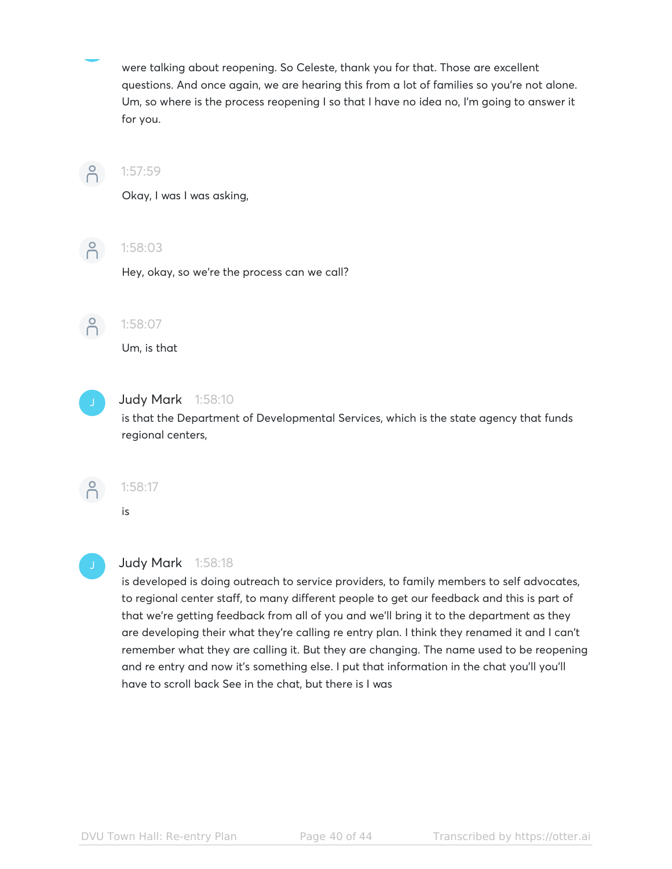were talking about reopening. So Celeste, thank you for that. Those are excellent questions. And once again, we are hearing this from a lot of families so you're not alone. Um, so where is the process reopening I so that I have no idea no, I'm going to answer it for you.



### 1:57:59

Okay, I was I was asking,



### $\begin{pmatrix} 0 \\ 0 \end{pmatrix}$  1:58:03

Hey, okay, so we're the process can we call?



# 1:58:07

Um, is that



### Judy Mark 1:58:10

is that the Department of Developmental Services, which is the state agency that funds regional centers,



### 1:58:17

is



### Judy Mark 1:58:18

is developed is doing outreach to service providers, to family members to self advocates, to regional center staff, to many different people to get our feedback and this is part of that we're getting feedback from all of you and we'll bring it to the department as they are developing their what they're calling re entry plan. I think they renamed it and I can't remember what they are calling it. But they are changing. The name used to be reopening and re entry and now it's something else. I put that information in the chat you'll you'll have to scroll back See in the chat, but there is I was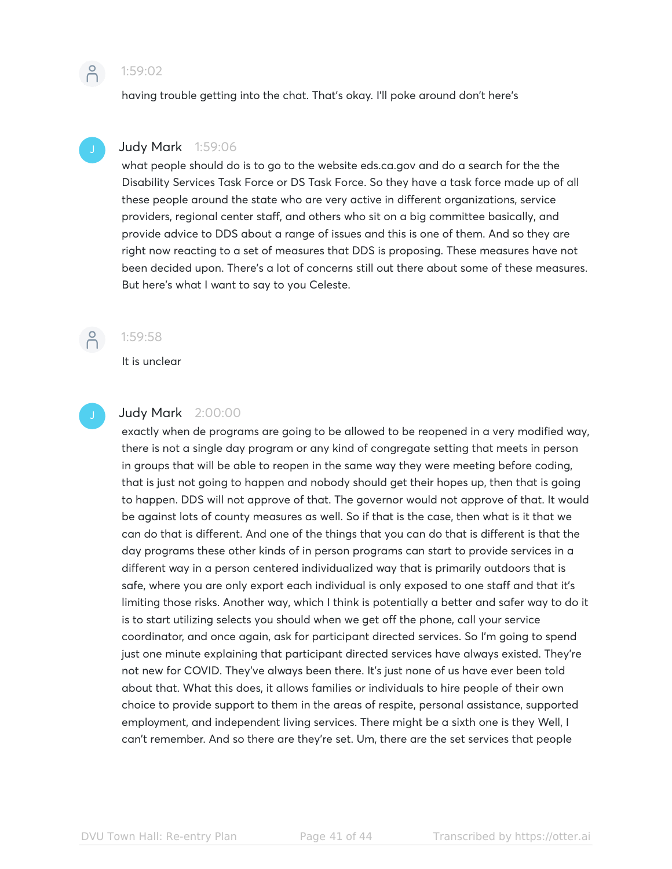

having trouble getting into the chat. That's okay. I'll poke around don't here's



### Judy Mark 1:59:06

what people should do is to go to the website eds.ca.gov and do a search for the the Disability Services Task Force or DS Task Force. So they have a task force made up of all these people around the state who are very active in different organizations, service providers, regional center staff, and others who sit on a big committee basically, and provide advice to DDS about a range of issues and this is one of them. And so they are right now reacting to a set of measures that DDS is proposing. These measures have not been decided upon. There's a lot of concerns still out there about some of these measures. But here's what I want to say to you Celeste.



### 1:59:58

It is unclear

### Judy Mark 2:00:00

exactly when de programs are going to be allowed to be reopened in a very modified way, there is not a single day program or any kind of congregate setting that meets in person in groups that will be able to reopen in the same way they were meeting before coding, that is just not going to happen and nobody should get their hopes up, then that is going to happen. DDS will not approve of that. The governor would not approve of that. It would be against lots of county measures as well. So if that is the case, then what is it that we can do that is different. And one of the things that you can do that is different is that the day programs these other kinds of in person programs can start to provide services in a different way in a person centered individualized way that is primarily outdoors that is safe, where you are only export each individual is only exposed to one staff and that it's limiting those risks. Another way, which I think is potentially a better and safer way to do it is to start utilizing selects you should when we get off the phone, call your service coordinator, and once again, ask for participant directed services. So I'm going to spend just one minute explaining that participant directed services have always existed. They're not new for COVID. They've always been there. It's just none of us have ever been told about that. What this does, it allows families or individuals to hire people of their own choice to provide support to them in the areas of respite, personal assistance, supported employment, and independent living services. There might be a sixth one is they Well, I can't remember. And so there are they're set. Um, there are the set services that people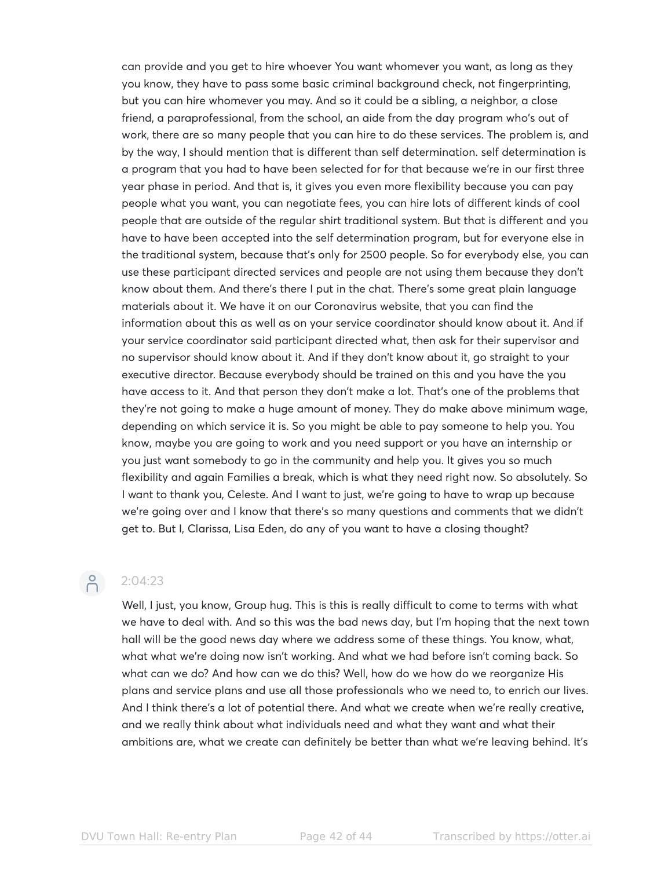can provide and you get to hire whoever You want whomever you want, as long as they you know, they have to pass some basic criminal background check, not fingerprinting, but you can hire whomever you may. And so it could be a sibling, a neighbor, a close friend, a paraprofessional, from the school, an aide from the day program who's out of work, there are so many people that you can hire to do these services. The problem is, and by the way, I should mention that is different than self determination. self determination is a program that you had to have been selected for for that because we're in our first three year phase in period. And that is, it gives you even more flexibility because you can pay people what you want, you can negotiate fees, you can hire lots of different kinds of cool people that are outside of the regular shirt traditional system. But that is different and you have to have been accepted into the self determination program, but for everyone else in the traditional system, because that's only for 2500 people. So for everybody else, you can use these participant directed services and people are not using them because they don't know about them. And there's there I put in the chat. There's some great plain language materials about it. We have it on our Coronavirus website, that you can find the information about this as well as on your service coordinator should know about it. And if your service coordinator said participant directed what, then ask for their supervisor and no supervisor should know about it. And if they don't know about it, go straight to your executive director. Because everybody should be trained on this and you have the you have access to it. And that person they don't make a lot. That's one of the problems that they're not going to make a huge amount of money. They do make above minimum wage, depending on which service it is. So you might be able to pay someone to help you. You know, maybe you are going to work and you need support or you have an internship or you just want somebody to go in the community and help you. It gives you so much flexibility and again Families a break, which is what they need right now. So absolutely. So I want to thank you, Celeste. And I want to just, we're going to have to wrap up because we're going over and I know that there's so many questions and comments that we didn't get to. But I, Clarissa, Lisa Eden, do any of you want to have a closing thought?

## $2:04:23$

Well, I just, you know, Group hug. This is this is really difficult to come to terms with what we have to deal with. And so this was the bad news day, but I'm hoping that the next town hall will be the good news day where we address some of these things. You know, what, what what we're doing now isn't working. And what we had before isn't coming back. So what can we do? And how can we do this? Well, how do we how do we reorganize His plans and service plans and use all those professionals who we need to, to enrich our lives. And I think there's a lot of potential there. And what we create when we're really creative, and we really think about what individuals need and what they want and what their ambitions are, what we create can definitely be better than what we're leaving behind. It's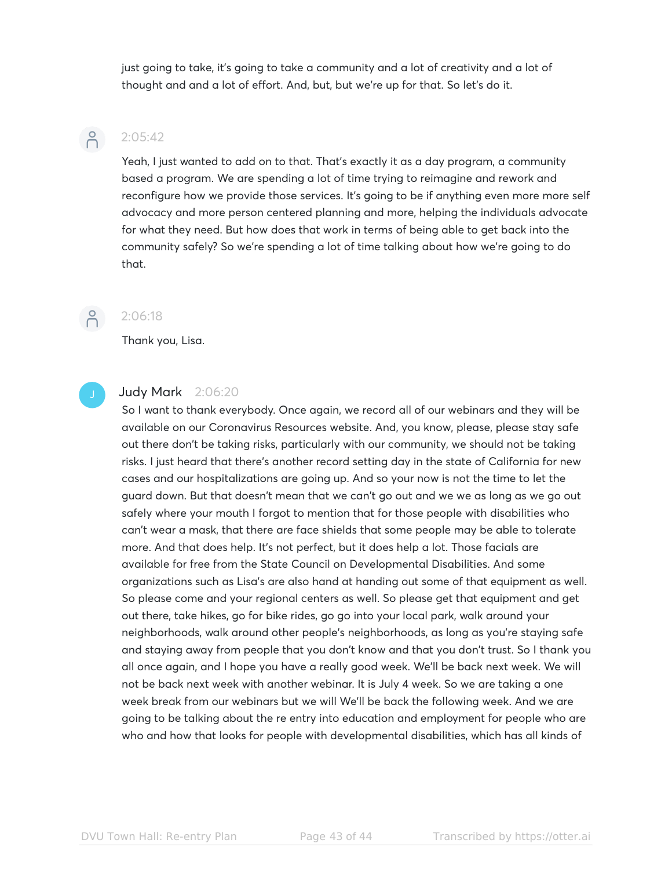just going to take, it's going to take a community and a lot of creativity and a lot of thought and and a lot of effort. And, but, but we're up for that. So let's do it.



### $2:05:42$

Yeah, I just wanted to add on to that. That's exactly it as a day program, a community based a program. We are spending a lot of time trying to reimagine and rework and reconfigure how we provide those services. It's going to be if anything even more more self advocacy and more person centered planning and more, helping the individuals advocate for what they need. But how does that work in terms of being able to get back into the community safely? So we're spending a lot of time talking about how we're going to do that.



### 2:06:18

Thank you, Lisa.

### Judy Mark 2:06:20

So I want to thank everybody. Once again, we record all of our webinars and they will be available on our Coronavirus Resources website. And, you know, please, please stay safe out there don't be taking risks, particularly with our community, we should not be taking risks. I just heard that there's another record setting day in the state of California for new cases and our hospitalizations are going up. And so your now is not the time to let the guard down. But that doesn't mean that we can't go out and we we as long as we go out safely where your mouth I forgot to mention that for those people with disabilities who can't wear a mask, that there are face shields that some people may be able to tolerate more. And that does help. It's not perfect, but it does help a lot. Those facials are available for free from the State Council on Developmental Disabilities. And some organizations such as Lisa's are also hand at handing out some of that equipment as well. So please come and your regional centers as well. So please get that equipment and get out there, take hikes, go for bike rides, go go into your local park, walk around your neighborhoods, walk around other people's neighborhoods, as long as you're staying safe and staying away from people that you don't know and that you don't trust. So I thank you all once again, and I hope you have a really good week. We'll be back next week. We will not be back next week with another webinar. It is July 4 week. So we are taking a one week break from our webinars but we will We'll be back the following week. And we are going to be talking about the re entry into education and employment for people who are who and how that looks for people with developmental disabilities, which has all kinds of